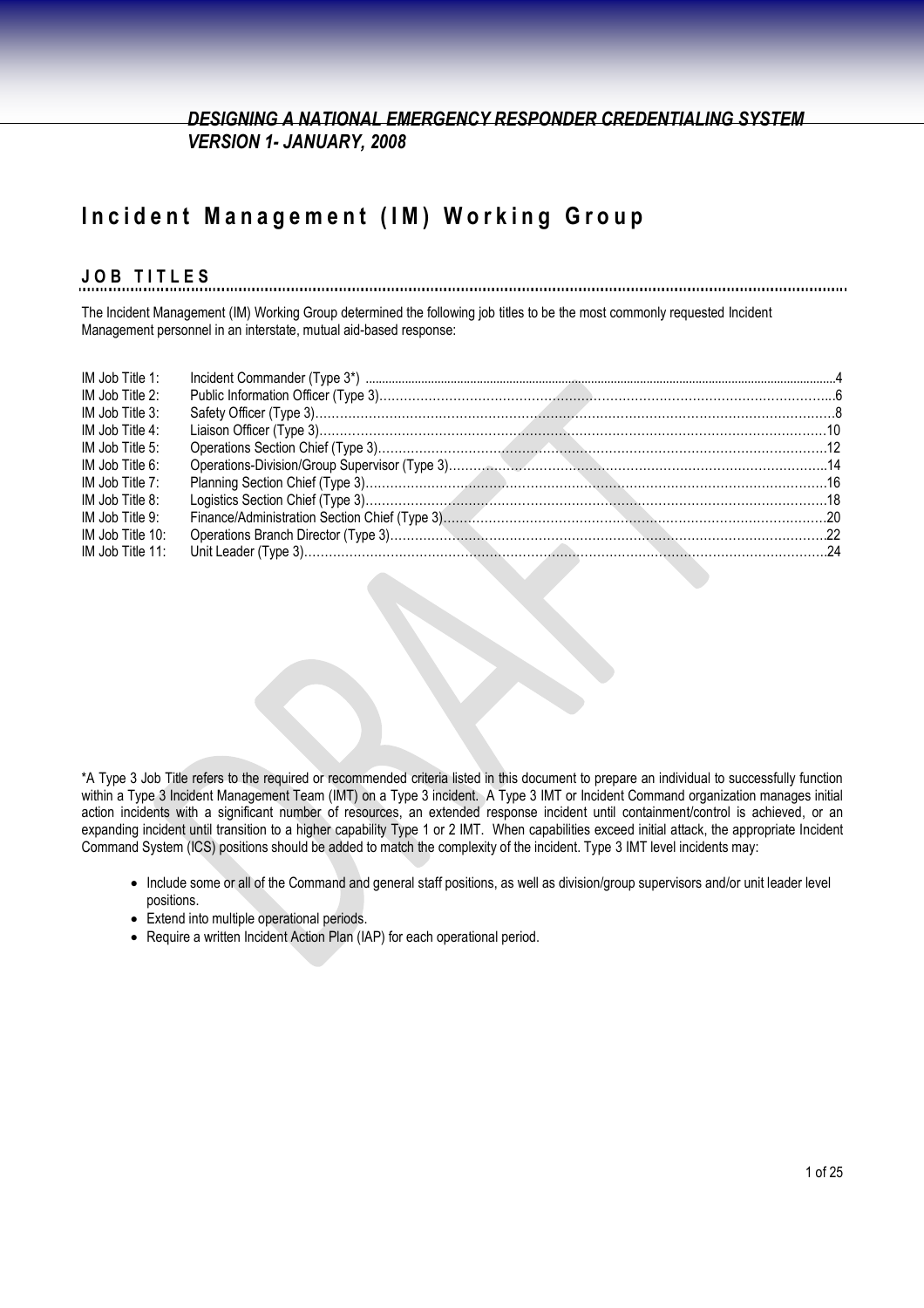## **Incident Management (IM) Working Group**

#### **J O B T I T L E S**

The Incident Management (IM) Working Group determined the following job titles to be the most commonly requested Incident Management personnel in an interstate, mutual aid-based response:

| IM Job Title 1:     |  |
|---------------------|--|
| IM Job Title 2:     |  |
| IM Job Title 3:     |  |
| IM Job Title 4:     |  |
| IM Job Title 5:     |  |
| IM Job Title 6:     |  |
| IM Job Title $7:$   |  |
| IM Job Title 8:     |  |
| IM Job Title 9:     |  |
| IM Job Title 10:    |  |
| IM Job Title $11$ : |  |

\*A Type 3 Job Title refers to the required or recommended criteria listed in this document to prepare an individual to successfully function within a Type 3 Incident Management Team (IMT) on a Type 3 incident. A Type 3 IMT or Incident Command organization manages initial action incidents with a significant number of resources, an extended response incident until containment/control is achieved, or an expanding incident until transition to a higher capability Type 1 or 2 IMT. When capabilities exceed initial attack, the appropriate Incident Command System (ICS) positions should be added to match the complexity of the incident. Type 3 IMT level incidents may:

- Include some or all of the Command and general staff positions, as well as division/group supervisors and/or unit leader level positions.
- Extend into multiple operational periods.
- Require a written Incident Action Plan (IAP) for each operational period.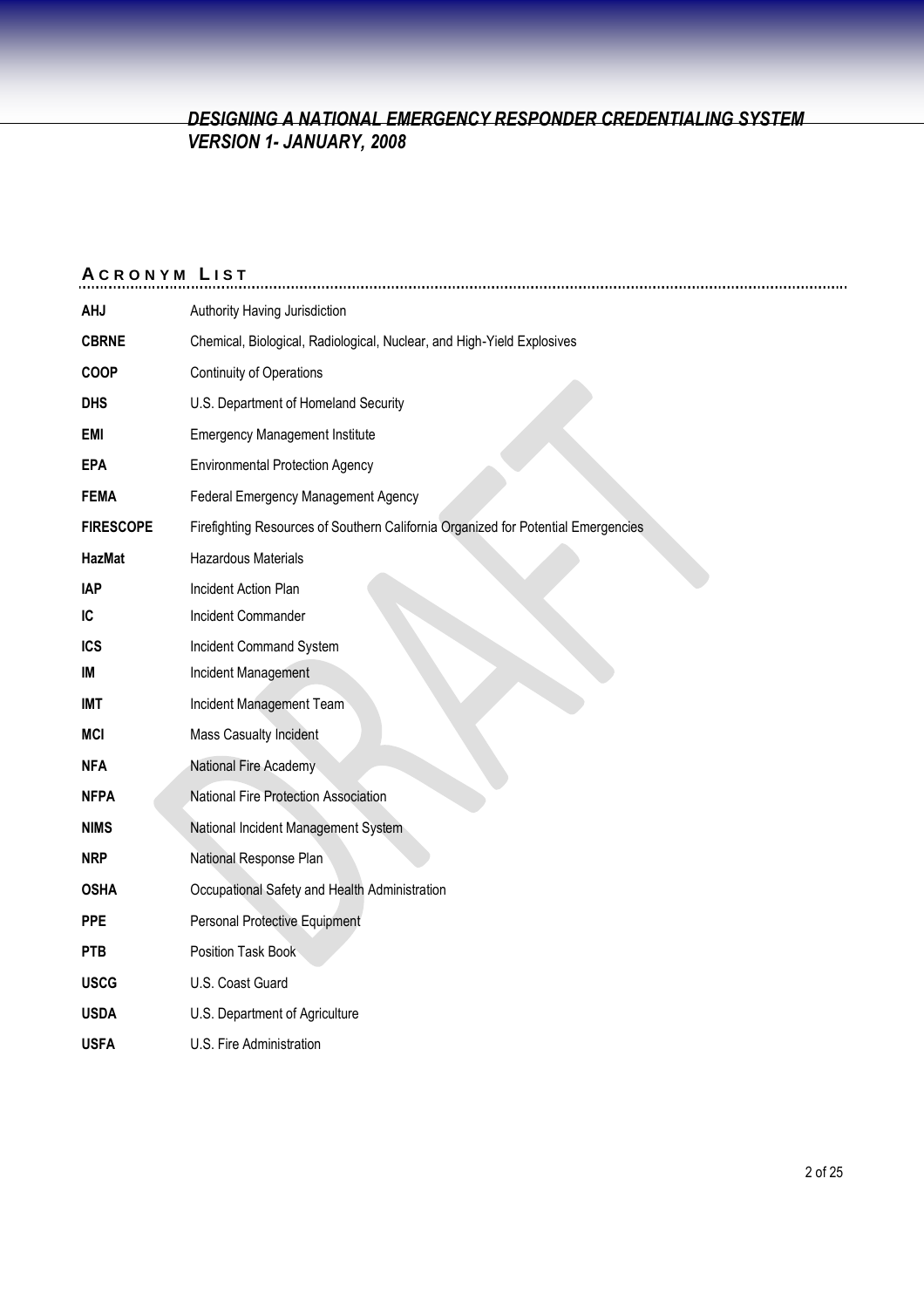| <b>ACRONYM LIST</b> |                                                                                   |
|---------------------|-----------------------------------------------------------------------------------|
| <b>AHJ</b>          | Authority Having Jurisdiction                                                     |
| <b>CBRNE</b>        | Chemical, Biological, Radiological, Nuclear, and High-Yield Explosives            |
| <b>COOP</b>         | Continuity of Operations                                                          |
| <b>DHS</b>          | U.S. Department of Homeland Security                                              |
| <b>EMI</b>          | <b>Emergency Management Institute</b>                                             |
| <b>EPA</b>          | <b>Environmental Protection Agency</b>                                            |
| <b>FEMA</b>         | Federal Emergency Management Agency                                               |
| <b>FIRESCOPE</b>    | Firefighting Resources of Southern California Organized for Potential Emergencies |
| <b>HazMat</b>       | Hazardous Materials                                                               |
| <b>IAP</b>          | Incident Action Plan                                                              |
| IC                  | Incident Commander                                                                |
| <b>ICS</b>          | Incident Command System                                                           |
| IM                  | Incident Management                                                               |
| IMT                 | Incident Management Team                                                          |
| <b>MCI</b>          | Mass Casualty Incident                                                            |
| <b>NFA</b>          | National Fire Academy                                                             |
| <b>NFPA</b>         | National Fire Protection Association                                              |
| <b>NIMS</b>         | National Incident Management System                                               |
| <b>NRP</b>          | National Response Plan                                                            |
| <b>OSHA</b>         | Occupational Safety and Health Administration                                     |
| <b>PPE</b>          | Personal Protective Equipment                                                     |
| <b>PTB</b>          | Position Task Book                                                                |
| <b>USCG</b>         | U.S. Coast Guard                                                                  |
| <b>USDA</b>         | U.S. Department of Agriculture                                                    |
| <b>USFA</b>         | U.S. Fire Administration                                                          |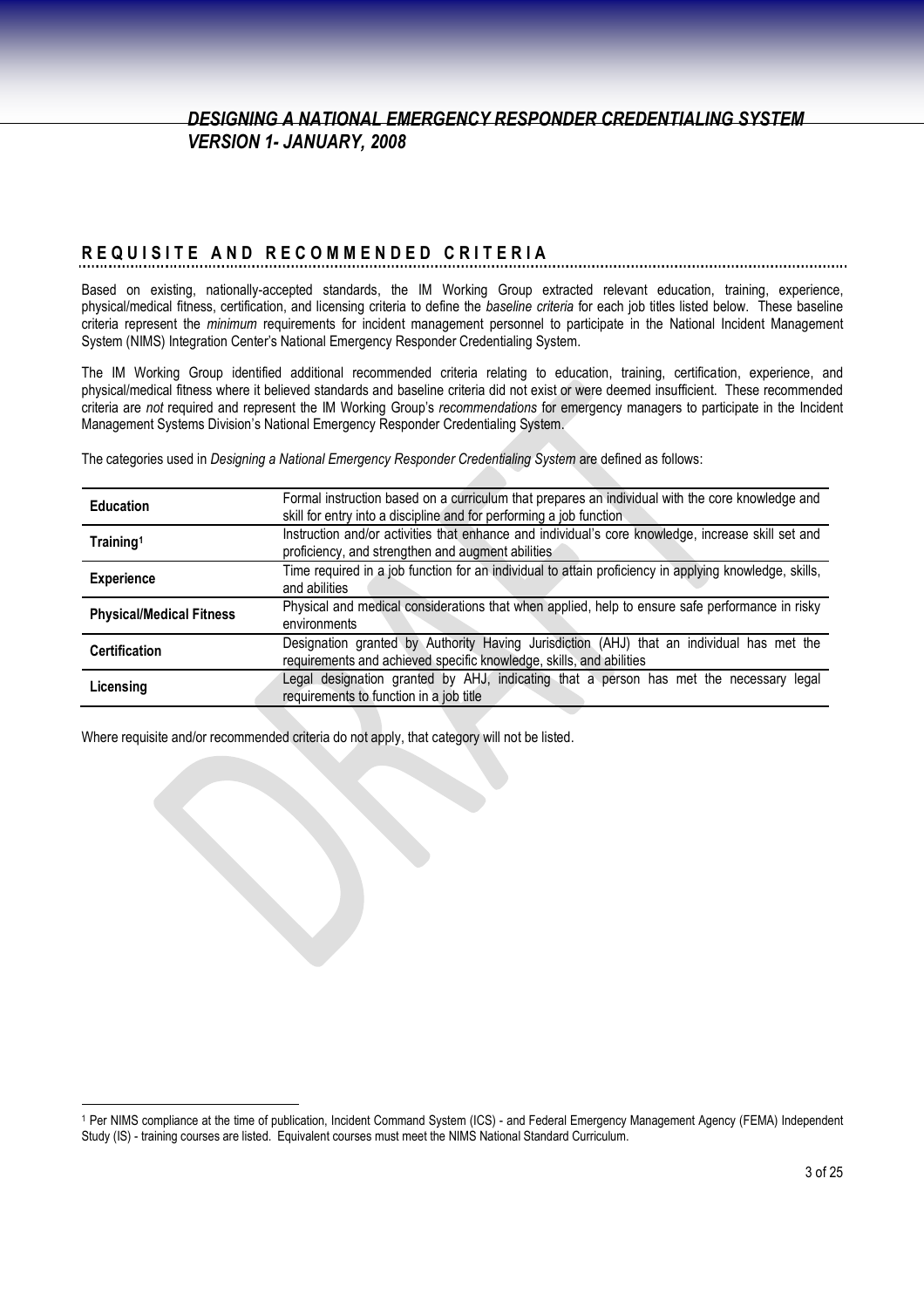# **R E Q U I S I T E A N D R E C O M M E N D E D C R I T E R I A**

Based on existing, nationally-accepted standards, the IM Working Group extracted relevant education, training, experience, physical/medical fitness, certification, and licensing criteria to define the *baseline criteria* for each job titles listed below. These baseline criteria represent the *minimum* requirements for incident management personnel to participate in the National Incident Management System (NIMS) Integration Center's National Emergency Responder Credentialing System.

The IM Working Group identified additional recommended criteria relating to education, training, certification, experience, and physical/medical fitness where it believed standards and baseline criteria did not exist or were deemed insufficient. These recommended criteria are *not* required and represent the IM Working Group's *recommendations* for emergency managers to participate in the Incident Management Systems Division's National Emergency Responder Credentialing System.

The categories used in *Designing a National Emergency Responder Credentialing System* are defined as follows:

| <b>Education</b>                | Formal instruction based on a curriculum that prepares an individual with the core knowledge and<br>skill for entry into a discipline and for performing a job function |
|---------------------------------|-------------------------------------------------------------------------------------------------------------------------------------------------------------------------|
| Training <sup>1</sup>           | Instruction and/or activities that enhance and individual's core knowledge, increase skill set and<br>proficiency, and strengthen and augment abilities                 |
| <b>Experience</b>               | Time required in a job function for an individual to attain proficiency in applying knowledge, skills,<br>and abilities                                                 |
| <b>Physical/Medical Fitness</b> | Physical and medical considerations that when applied, help to ensure safe performance in risky<br>environments                                                         |
| <b>Certification</b>            | Designation granted by Authority Having Jurisdiction (AHJ) that an individual has met the<br>requirements and achieved specific knowledge, skills, and abilities        |
| Licensing                       | Legal designation granted by AHJ, indicating that a person has met the necessary legal<br>requirements to function in a job title                                       |

Where requisite and/or recommended criteria do not apply, that category will not be listed.

<sup>1</sup> Per NIMS compliance at the time of publication, Incident Command System (ICS) - and Federal Emergency Management Agency (FEMA) Independent Study (IS) - training courses are listed. Equivalent courses must meet the NIMS National Standard Curriculum.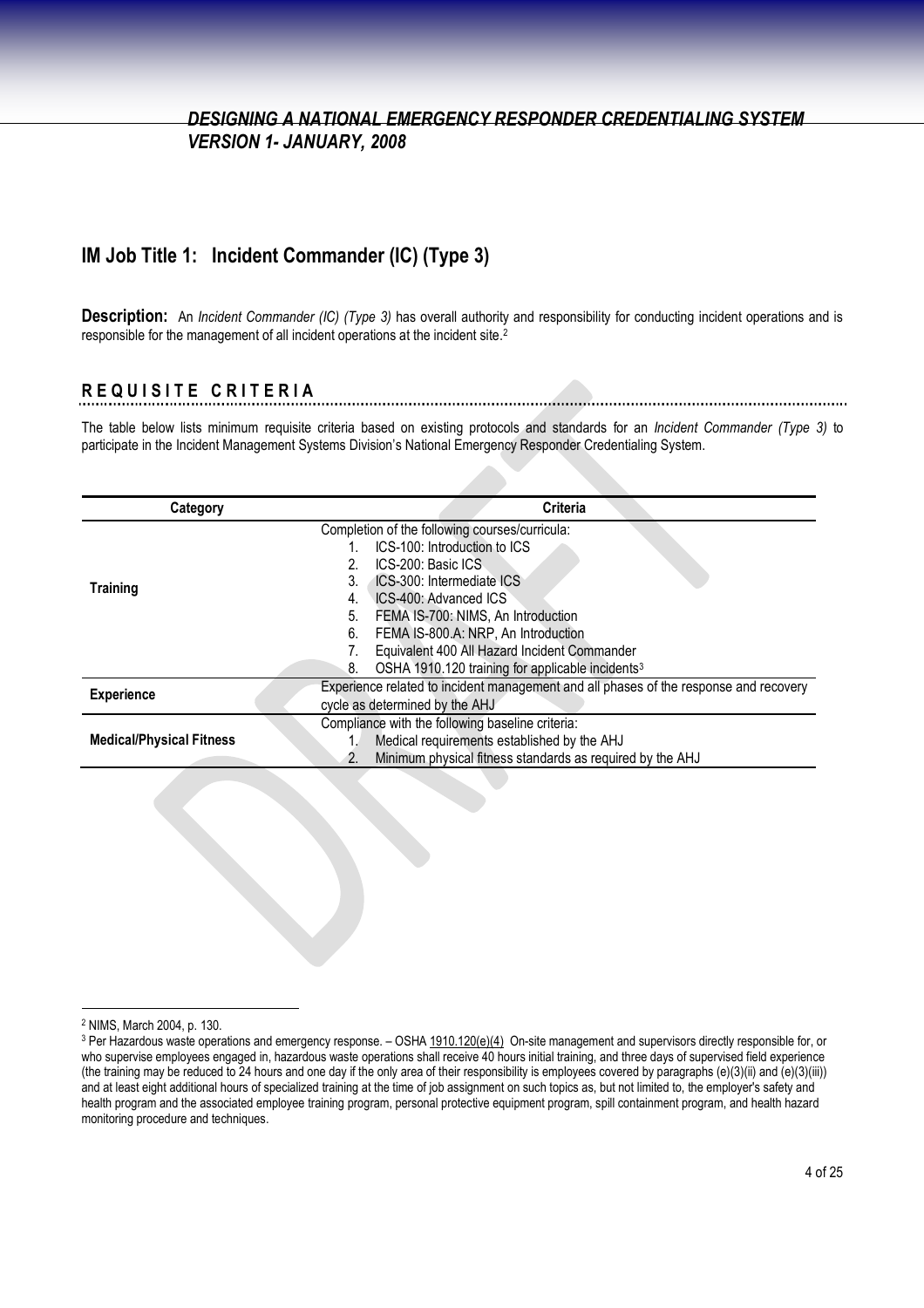### **IM Job Title 1: Incident Commander (IC) (Type 3)**

**Description:** An *Incident Commander (IC) (Type 3)* has overall authority and responsibility for conducting incident operations and is responsible for the management of all incident operations at the incident site.<sup>2</sup>

## **R E Q U I S I T E C R I T E R I A**

The table below lists minimum requisite criteria based on existing protocols and standards for an *Incident Commander (Type 3)* to participate in the Incident Management Systems Division's National Emergency Responder Credentialing System.

| Category                        | <b>Criteria</b>                                                                       |
|---------------------------------|---------------------------------------------------------------------------------------|
|                                 | Completion of the following courses/curricula:                                        |
|                                 | ICS-100: Introduction to ICS                                                          |
|                                 | ICS-200: Basic ICS                                                                    |
| <b>Training</b>                 | <b>ICS-300: Intermediate ICS</b><br>3.                                                |
|                                 | ICS-400: Advanced ICS<br>4.                                                           |
|                                 | FEMA IS-700: NIMS, An Introduction<br>5.                                              |
|                                 | FEMA IS-800.A: NRP, An Introduction<br>6.                                             |
|                                 | Equivalent 400 All Hazard Incident Commander                                          |
|                                 | OSHA 1910.120 training for applicable incidents <sup>3</sup><br>8.                    |
| <b>Experience</b>               | Experience related to incident management and all phases of the response and recovery |
|                                 | cycle as determined by the AHJ                                                        |
|                                 | Compliance with the following baseline criteria:                                      |
| <b>Medical/Physical Fitness</b> | Medical requirements established by the AHJ                                           |
|                                 | Minimum physical fitness standards as required by the AHJ<br>2.                       |
|                                 |                                                                                       |

<sup>2</sup> NIMS, March 2004, p. 130.

<sup>&</sup>lt;sup>3</sup> Per Hazardous waste operations and emergency response. - OSHA 1910.120(e)(4) On-site management and supervisors directly responsible for, or who supervise employees engaged in, hazardous waste operations shall receive 40 hours initial training, and three days of supervised field experience (the training may be reduced to 24 hours and one day if the only area of their responsibility is employees covered by paragraphs (e)(3)(ii) and (e)(3)(iii)) and at least eight additional hours of specialized training at the time of job assignment on such topics as, but not limited to, the employer's safety and health program and the associated employee training program, personal protective equipment program, spill containment program, and health hazard monitoring procedure and techniques.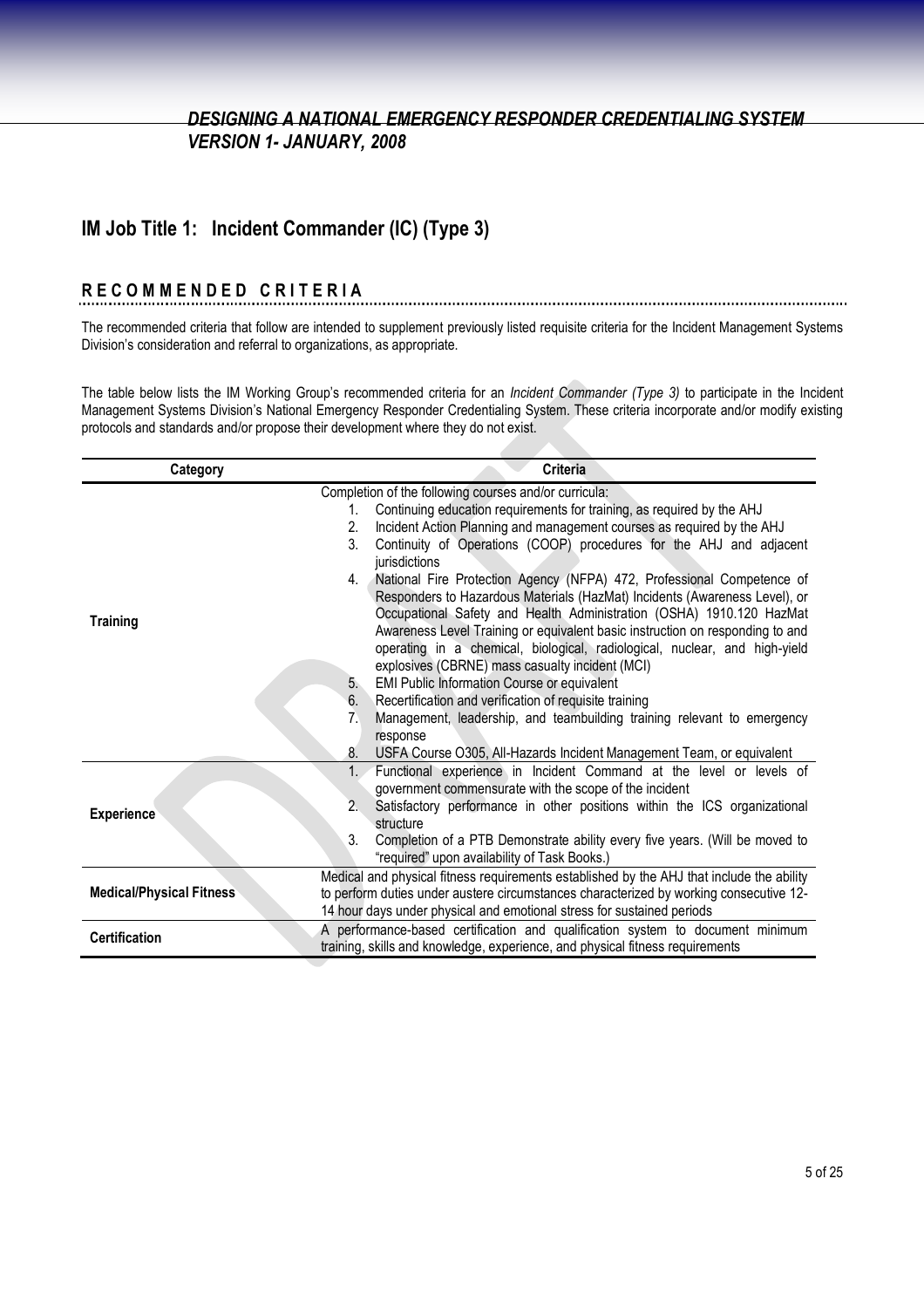## **IM Job Title 1: Incident Commander (IC) (Type 3)**

# **R E C O M M E N D E D C R I T E R I A**

The recommended criteria that follow are intended to supplement previously listed requisite criteria for the Incident Management Systems Division's consideration and referral to organizations, as appropriate.

The table below lists the IM Working Group's recommended criteria for an *Incident Commander (Type 3)* to participate in the Incident Management Systems Division's National Emergency Responder Credentialing System. These criteria incorporate and/or modify existing protocols and standards and/or propose their development where they do not exist.

| Category                        | <b>Criteria</b>                                                                                                                              |
|---------------------------------|----------------------------------------------------------------------------------------------------------------------------------------------|
|                                 | Completion of the following courses and/or curricula:                                                                                        |
|                                 | Continuing education requirements for training, as required by the AHJ<br>1.                                                                 |
|                                 | Incident Action Planning and management courses as required by the AHJ<br>2.                                                                 |
|                                 | 3 <sub>1</sub><br>Continuity of Operations (COOP) procedures for the AHJ and adjacent<br>jurisdictions                                       |
|                                 | National Fire Protection Agency (NFPA) 472, Professional Competence of<br>4.                                                                 |
|                                 | Responders to Hazardous Materials (HazMat) Incidents (Awareness Level), or                                                                   |
| <b>Training</b>                 | Occupational Safety and Health Administration (OSHA) 1910.120 HazMat                                                                         |
|                                 | Awareness Level Training or equivalent basic instruction on responding to and                                                                |
|                                 | operating in a chemical, biological, radiological, nuclear, and high-yield                                                                   |
|                                 | explosives (CBRNE) mass casualty incident (MCI)                                                                                              |
|                                 | EMI Public Information Course or equivalent<br>5.                                                                                            |
|                                 | Recertification and verification of requisite training<br>6.                                                                                 |
|                                 | Management, leadership, and teambuilding training relevant to emergency<br>7 <sub>1</sub>                                                    |
|                                 | response<br>8.                                                                                                                               |
|                                 | USFA Course O305, All-Hazards Incident Management Team, or equivalent<br>Functional experience in Incident Command at the level or levels of |
|                                 | government commensurate with the scope of the incident                                                                                       |
|                                 | 2.<br>Satisfactory performance in other positions within the ICS organizational                                                              |
| <b>Experience</b>               | structure                                                                                                                                    |
|                                 | 3.<br>Completion of a PTB Demonstrate ability every five years. (Will be moved to                                                            |
|                                 | "required" upon availability of Task Books.)                                                                                                 |
|                                 | Medical and physical fitness requirements established by the AHJ that include the ability                                                    |
| <b>Medical/Physical Fitness</b> | to perform duties under austere circumstances characterized by working consecutive 12-                                                       |
|                                 | 14 hour days under physical and emotional stress for sustained periods                                                                       |
| <b>Certification</b>            | A performance-based certification and qualification system to document minimum                                                               |
|                                 | training, skills and knowledge, experience, and physical fitness requirements                                                                |
|                                 |                                                                                                                                              |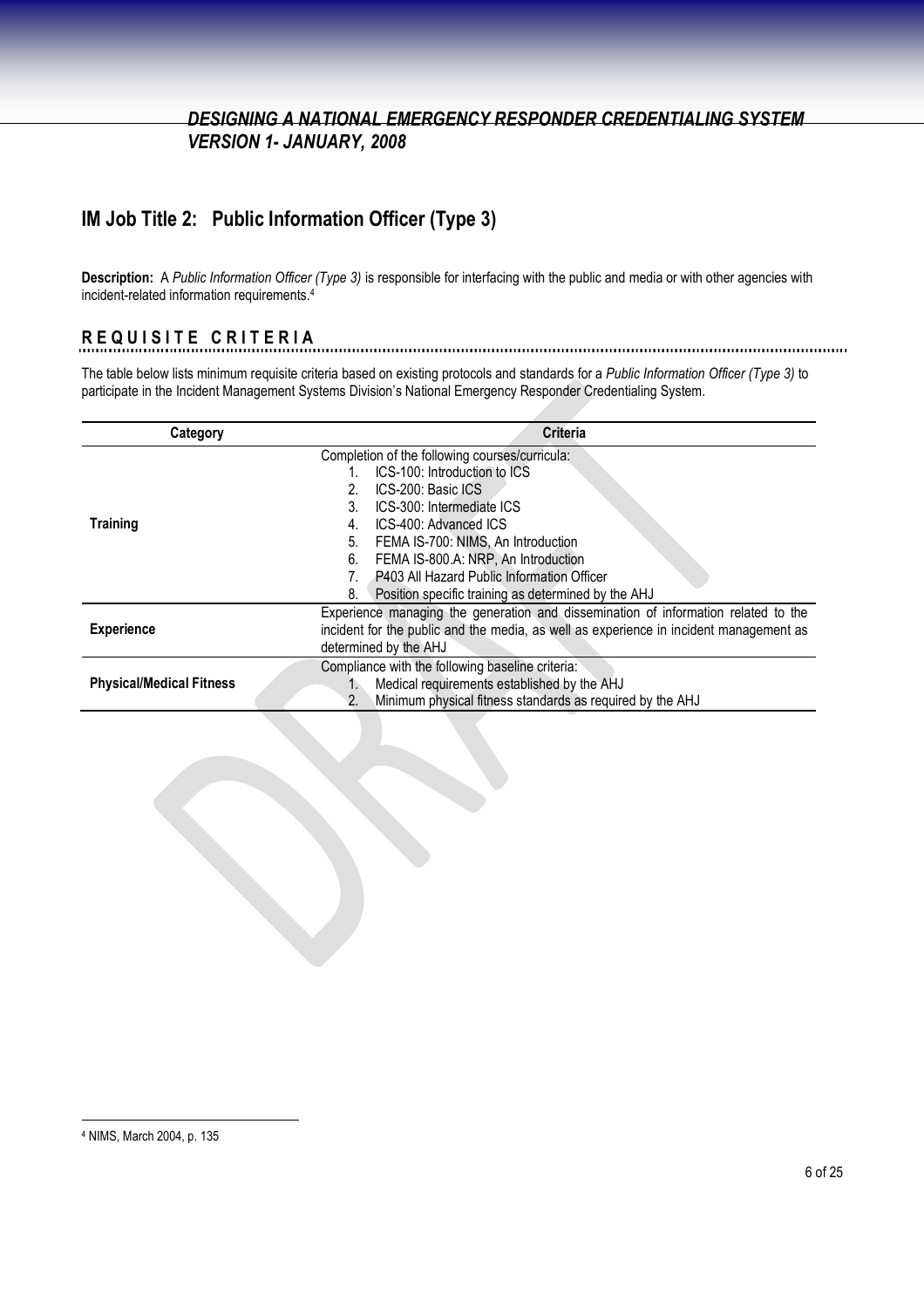## **IM Job Title 2: Public Information Officer (Type 3)**

**Description:** A *Public Information Officer (Type 3)* is responsible for interfacing with the public and media or with other agencies with incident-related information requirements.<sup>4</sup>

### **R E Q U I S I T E C R I T E R I A**

The table below lists minimum requisite criteria based on existing protocols and standards for a *Public Information Officer (Type 3)* to participate in the Incident Management Systems Division's National Emergency Responder Credentialing System.

| Category                        | <b>Criteria</b>                                                                        |
|---------------------------------|----------------------------------------------------------------------------------------|
|                                 | Completion of the following courses/curricula:                                         |
|                                 | ICS-100: Introduction to ICS                                                           |
|                                 | ICS-200: Basic ICS                                                                     |
|                                 | 3.<br>ICS-300: Intermediate ICS                                                        |
| <b>Training</b>                 | ICS-400: Advanced ICS<br>4.                                                            |
|                                 | FEMA IS-700: NIMS, An Introduction<br>5.                                               |
|                                 | FEMA IS-800.A: NRP, An Introduction<br>6.                                              |
|                                 | P403 All Hazard Public Information Officer                                             |
|                                 | 8.<br>Position specific training as determined by the AHJ                              |
|                                 | Experience managing the generation and dissemination of information related to the     |
| <b>Experience</b>               | incident for the public and the media, as well as experience in incident management as |
|                                 | determined by the AHJ                                                                  |
|                                 | Compliance with the following baseline criteria:                                       |
| <b>Physical/Medical Fitness</b> | Medical requirements established by the AHJ<br>$1_{-}$                                 |
|                                 | Minimum physical fitness standards as required by the AHJ<br>2.                        |

<sup>4</sup> NIMS, March 2004, p. 135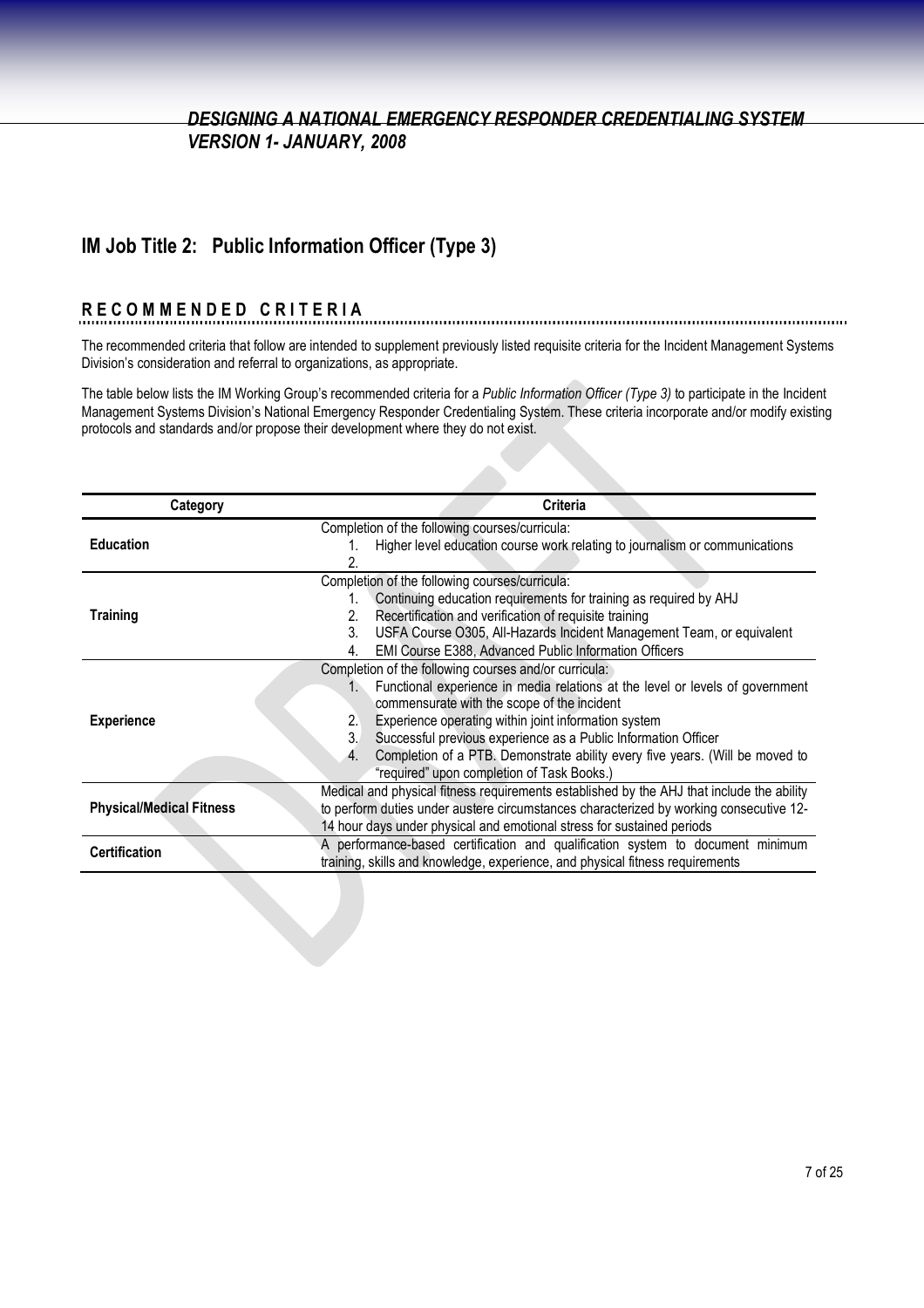## **IM Job Title 2: Public Information Officer (Type 3)**

#### **R E C O M M E N D E D C R I T E R I A**

The recommended criteria that follow are intended to supplement previously listed requisite criteria for the Incident Management Systems Division's consideration and referral to organizations, as appropriate.

The table below lists the IM Working Group's recommended criteria for a *Public Information Officer (Type 3)* to participate in the Incident Management Systems Division's National Emergency Responder Credentialing System. These criteria incorporate and/or modify existing protocols and standards and/or propose their development where they do not exist.

| Category                        | Criteria                                                                                      |
|---------------------------------|-----------------------------------------------------------------------------------------------|
|                                 | Completion of the following courses/curricula:                                                |
| <b>Education</b>                | Higher level education course work relating to journalism or communications                   |
|                                 |                                                                                               |
|                                 | Completion of the following courses/curricula:                                                |
|                                 | Continuing education requirements for training as required by AHJ<br>1.                       |
| <b>Training</b>                 | Recertification and verification of requisite training<br>2.                                  |
|                                 | USFA Course O305, All-Hazards Incident Management Team, or equivalent<br>3.                   |
|                                 | EMI Course E388, Advanced Public Information Officers<br>4.                                   |
|                                 | Completion of the following courses and/or curricula:                                         |
|                                 | Functional experience in media relations at the level or levels of government<br>$1_{\cdots}$ |
|                                 | commensurate with the scope of the incident                                                   |
| <b>Experience</b>               | Experience operating within joint information system<br>2.                                    |
|                                 | 3.<br>Successful previous experience as a Public Information Officer                          |
|                                 | Completion of a PTB. Demonstrate ability every five years. (Will be moved to                  |
|                                 | "required" upon completion of Task Books.)                                                    |
|                                 | Medical and physical fitness requirements established by the AHJ that include the ability     |
| <b>Physical/Medical Fitness</b> | to perform duties under austere circumstances characterized by working consecutive 12-        |
|                                 | 14 hour days under physical and emotional stress for sustained periods                        |
| <b>Certification</b>            | A performance-based certification and qualification system to document minimum                |
|                                 | training, skills and knowledge, experience, and physical fitness requirements                 |
|                                 |                                                                                               |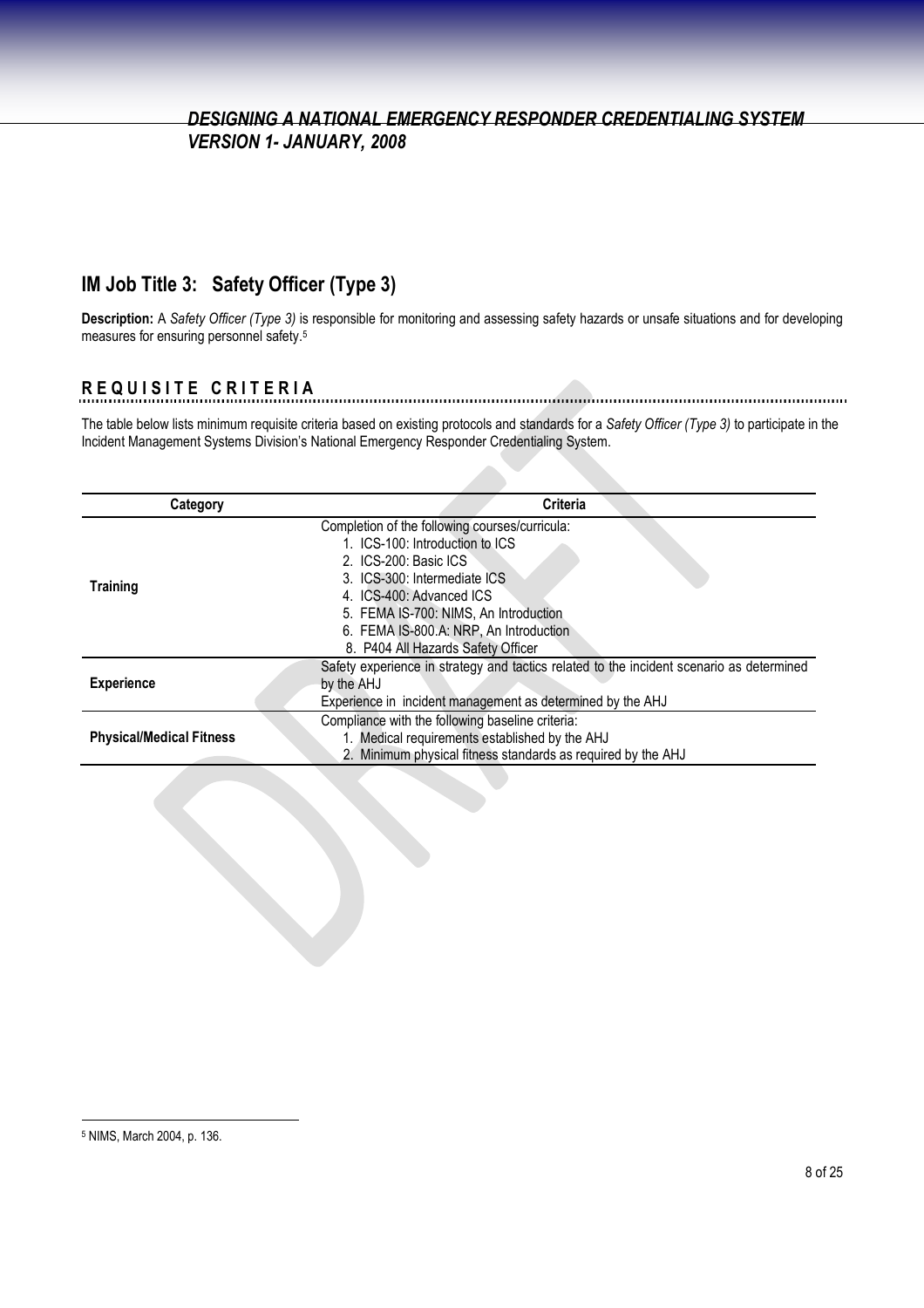## **IM Job Title 3: Safety Officer (Type 3)**

**Description:** A *Safety Officer (Type 3)* is responsible for monitoring and assessing safety hazards or unsafe situations and for developing measures for ensuring personnel safety.<sup>5</sup>

# **R E Q U I S I T E C R I T E R I A**

The table below lists minimum requisite criteria based on existing protocols and standards for a *Safety Officer (Type 3)* to participate in the Incident Management Systems Division's National Emergency Responder Credentialing System.

| Category                        | <b>Criteria</b>                                                                                                                                                                                                                                           |
|---------------------------------|-----------------------------------------------------------------------------------------------------------------------------------------------------------------------------------------------------------------------------------------------------------|
| <b>Training</b>                 | Completion of the following courses/curricula:<br>1. ICS-100: Introduction to ICS<br>2. ICS-200: Basic ICS<br>3. ICS-300: Intermediate ICS<br>4. ICS-400: Advanced ICS<br>5. FEMA IS-700: NIMS, An Introduction<br>6. FEMA IS-800.A: NRP, An Introduction |
| <b>Experience</b>               | 8. P404 All Hazards Safety Officer<br>Safety experience in strategy and tactics related to the incident scenario as determined<br>by the AHJ<br>Experience in incident management as determined by the AHJ                                                |
| <b>Physical/Medical Fitness</b> | Compliance with the following baseline criteria:<br>1. Medical requirements established by the AHJ<br>2. Minimum physical fitness standards as required by the AHJ                                                                                        |

<sup>5</sup> NIMS, March 2004, p. 136.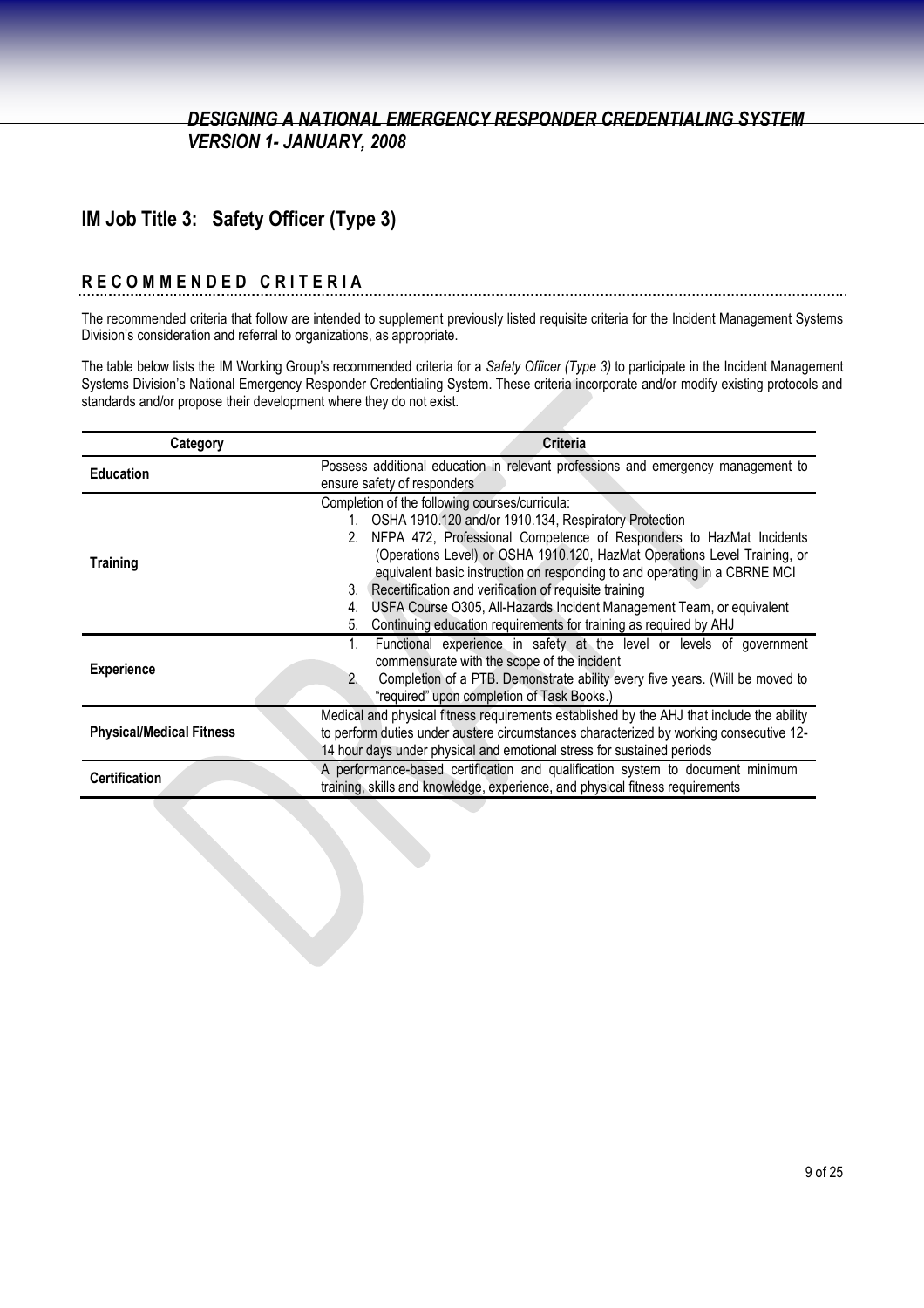## **IM Job Title 3: Safety Officer (Type 3)**

#### **R E C O M M E N D E D C R I T E R I A**

The recommended criteria that follow are intended to supplement previously listed requisite criteria for the Incident Management Systems Division's consideration and referral to organizations, as appropriate.

The table below lists the IM Working Group's recommended criteria for a *Safety Officer (Type 3)* to participate in the Incident Management Systems Division's National Emergency Responder Credentialing System. These criteria incorporate and/or modify existing protocols and standards and/or propose their development where they do not exist.

| Category                        | <b>Criteria</b>                                                                                                                                                                                                                                                                                                                                                                                                                                                                                                                                                        |
|---------------------------------|------------------------------------------------------------------------------------------------------------------------------------------------------------------------------------------------------------------------------------------------------------------------------------------------------------------------------------------------------------------------------------------------------------------------------------------------------------------------------------------------------------------------------------------------------------------------|
| <b>Education</b>                | Possess additional education in relevant professions and emergency management to<br>ensure safety of responders                                                                                                                                                                                                                                                                                                                                                                                                                                                        |
| <b>Training</b>                 | Completion of the following courses/curricula:<br>1. OSHA 1910.120 and/or 1910.134, Respiratory Protection<br>2. NFPA 472, Professional Competence of Responders to HazMat Incidents<br>(Operations Level) or OSHA 1910.120, HazMat Operations Level Training, or<br>equivalent basic instruction on responding to and operating in a CBRNE MCI<br>3. Recertification and verification of requisite training<br>USFA Course O305, All-Hazards Incident Management Team, or equivalent<br>4.<br>Continuing education requirements for training as required by AHJ<br>5. |
| <b>Experience</b>               | Functional experience in safety at the level or levels of government<br>commensurate with the scope of the incident<br>Completion of a PTB. Demonstrate ability every five years. (Will be moved to<br>"required" upon completion of Task Books.)                                                                                                                                                                                                                                                                                                                      |
| <b>Physical/Medical Fitness</b> | Medical and physical fitness requirements established by the AHJ that include the ability<br>to perform duties under austere circumstances characterized by working consecutive 12-<br>14 hour days under physical and emotional stress for sustained periods                                                                                                                                                                                                                                                                                                          |
| <b>Certification</b>            | A performance-based certification and qualification system to document minimum<br>training, skills and knowledge, experience, and physical fitness requirements                                                                                                                                                                                                                                                                                                                                                                                                        |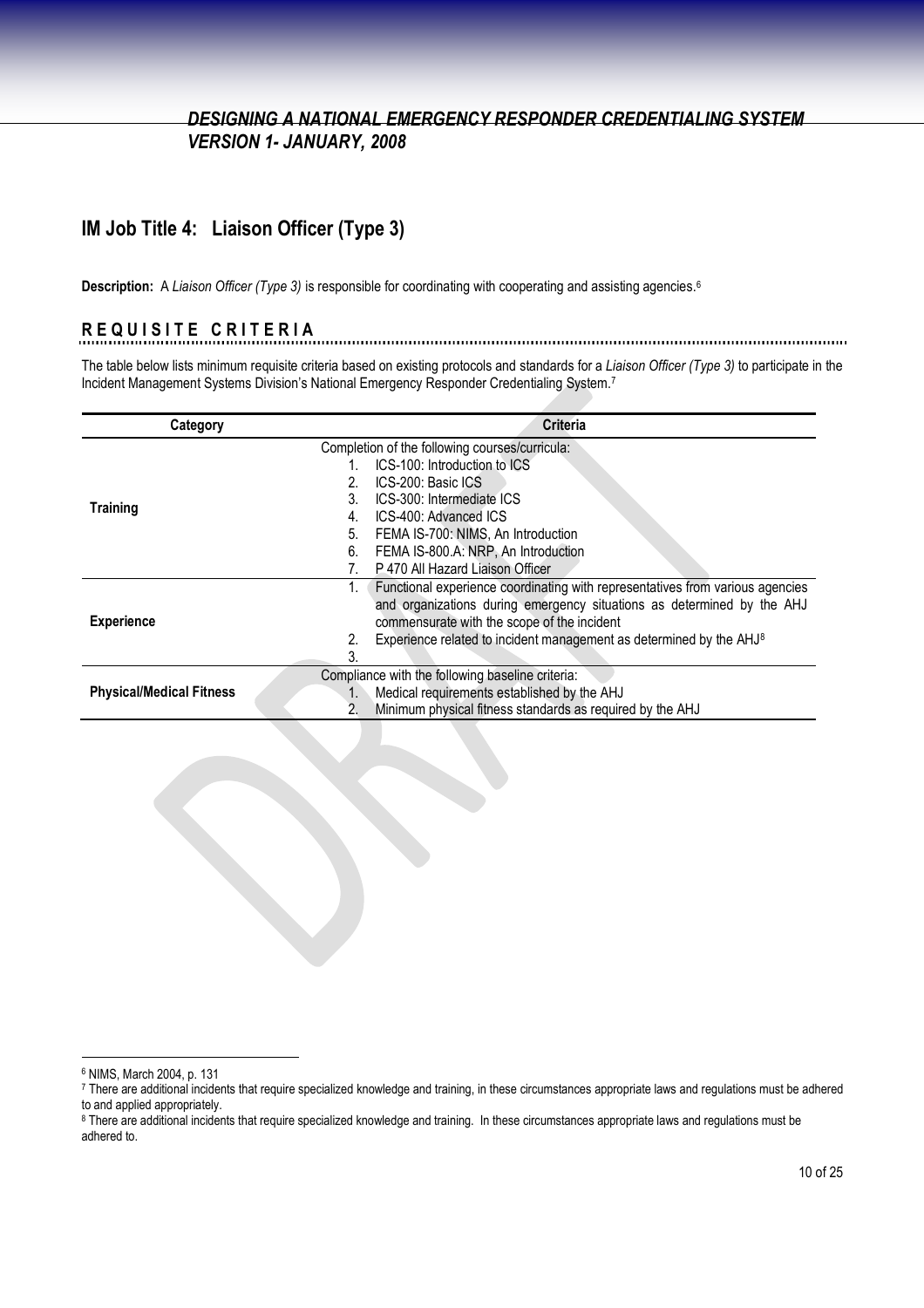### **IM Job Title 4: Liaison Officer (Type 3)**

**Description:** A *Liaison Officer (Type 3)* is responsible for coordinating with cooperating and assisting agencies.<sup>6</sup>

#### **R E Q U I S I T E C R I T E R I A**

The table below lists minimum requisite criteria based on existing protocols and standards for a *Liaison Officer (Type 3)* to participate in the Incident Management Systems Division's National Emergency Responder Credentialing System.<sup>7</sup>

| Category                        | <b>Criteria</b>                                                                       |
|---------------------------------|---------------------------------------------------------------------------------------|
|                                 | Completion of the following courses/curricula:                                        |
|                                 | ICS-100: Introduction to ICS                                                          |
|                                 | ICS-200: Basic ICS<br>2.                                                              |
| <b>Training</b>                 | ICS-300: Intermediate ICS<br>3.                                                       |
|                                 | ICS-400: Advanced ICS<br>4.                                                           |
|                                 | 5.<br>FEMA IS-700: NIMS, An Introduction                                              |
|                                 | FEMA IS-800.A: NRP, An Introduction<br>6.                                             |
|                                 | P 470 All Hazard Liaison Officer                                                      |
|                                 | Functional experience coordinating with representatives from various agencies         |
|                                 | and organizations during emergency situations as determined by the AHJ                |
| <b>Experience</b>               | commensurate with the scope of the incident                                           |
|                                 | Experience related to incident management as determined by the AHJ <sup>8</sup><br>2. |
|                                 | 3.                                                                                    |
| <b>Physical/Medical Fitness</b> | Compliance with the following baseline criteria:                                      |
|                                 | Medical requirements established by the AHJ<br>$1_{\cdot}$                            |
|                                 | Minimum physical fitness standards as required by the AHJ<br>2.                       |

<sup>6</sup> NIMS, March 2004, p. 131

<sup>7</sup> There are additional incidents that require specialized knowledge and training, in these circumstances appropriate laws and regulations must be adhered to and applied appropriately.

<sup>&</sup>lt;sup>8</sup> There are additional incidents that require specialized knowledge and training. In these circumstances appropriate laws and regulations must be adhered to.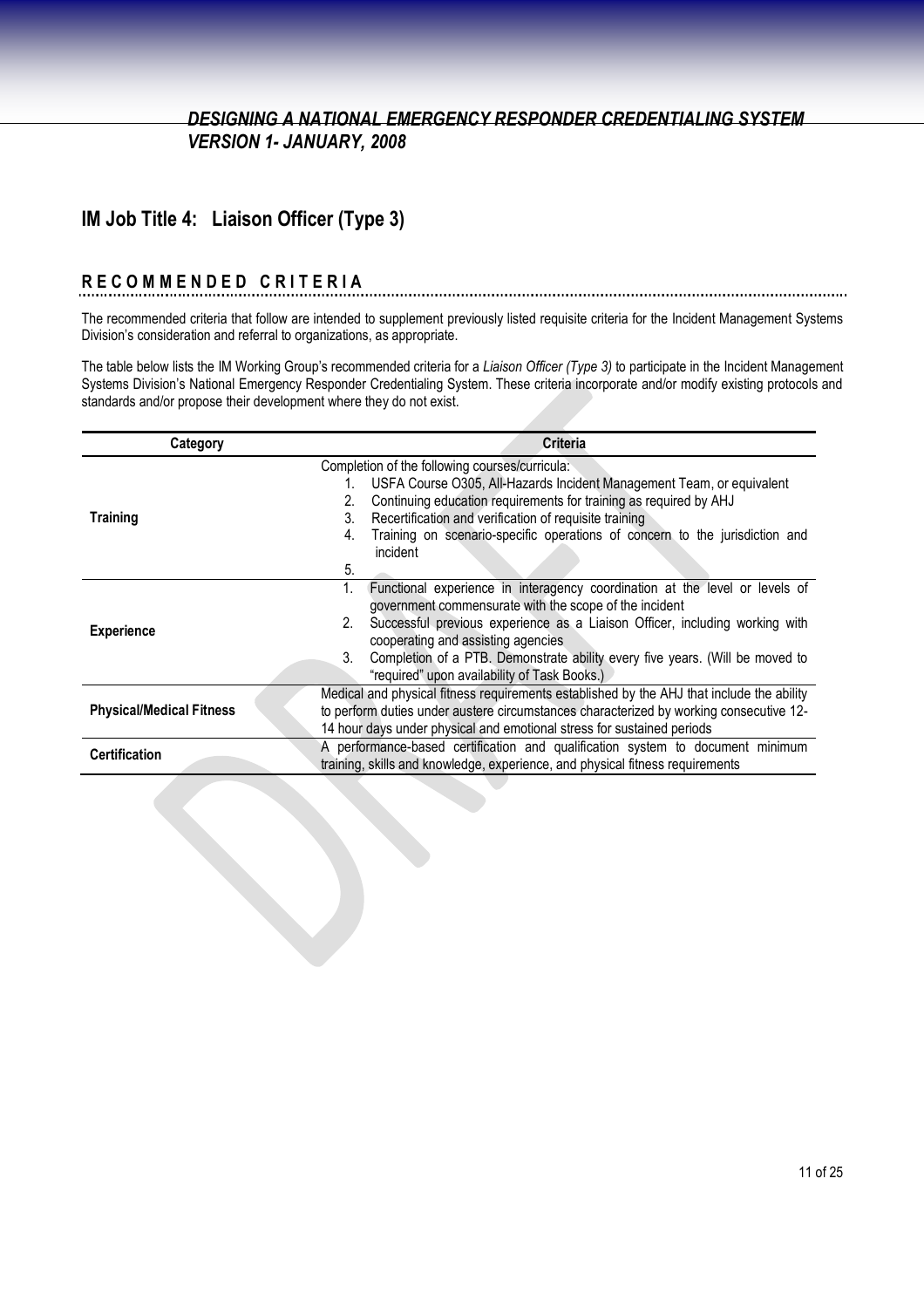## **IM Job Title 4: Liaison Officer (Type 3)**

#### **R E C O M M E N D E D C R I T E R I A**

The recommended criteria that follow are intended to supplement previously listed requisite criteria for the Incident Management Systems Division's consideration and referral to organizations, as appropriate.

The table below lists the IM Working Group's recommended criteria for a *Liaison Officer (Type 3)* to participate in the Incident Management Systems Division's National Emergency Responder Credentialing System. These criteria incorporate and/or modify existing protocols and standards and/or propose their development where they do not exist.

| Category                        | <b>Criteria</b>                                                                           |
|---------------------------------|-------------------------------------------------------------------------------------------|
|                                 | Completion of the following courses/curricula:                                            |
|                                 | USFA Course O305, All-Hazards Incident Management Team, or equivalent                     |
|                                 | Continuing education requirements for training as required by AHJ                         |
| <b>Training</b>                 | Recertification and verification of requisite training<br>3.                              |
|                                 | Training on scenario-specific operations of concern to the jurisdiction and<br>4.         |
|                                 | incident                                                                                  |
|                                 | 5.                                                                                        |
|                                 | Functional experience in interagency coordination at the level or levels of               |
|                                 | government commensurate with the scope of the incident                                    |
| <b>Experience</b>               | Successful previous experience as a Liaison Officer, including working with<br>2.         |
|                                 | cooperating and assisting agencies                                                        |
|                                 | Completion of a PTB. Demonstrate ability every five years. (Will be moved to<br>3.        |
|                                 | "required" upon availability of Task Books.)                                              |
|                                 | Medical and physical fitness requirements established by the AHJ that include the ability |
| <b>Physical/Medical Fitness</b> | to perform duties under austere circumstances characterized by working consecutive 12-    |
|                                 | 14 hour days under physical and emotional stress for sustained periods                    |
| <b>Certification</b>            | A performance-based certification and qualification system to document minimum            |
|                                 | training, skills and knowledge, experience, and physical fitness requirements             |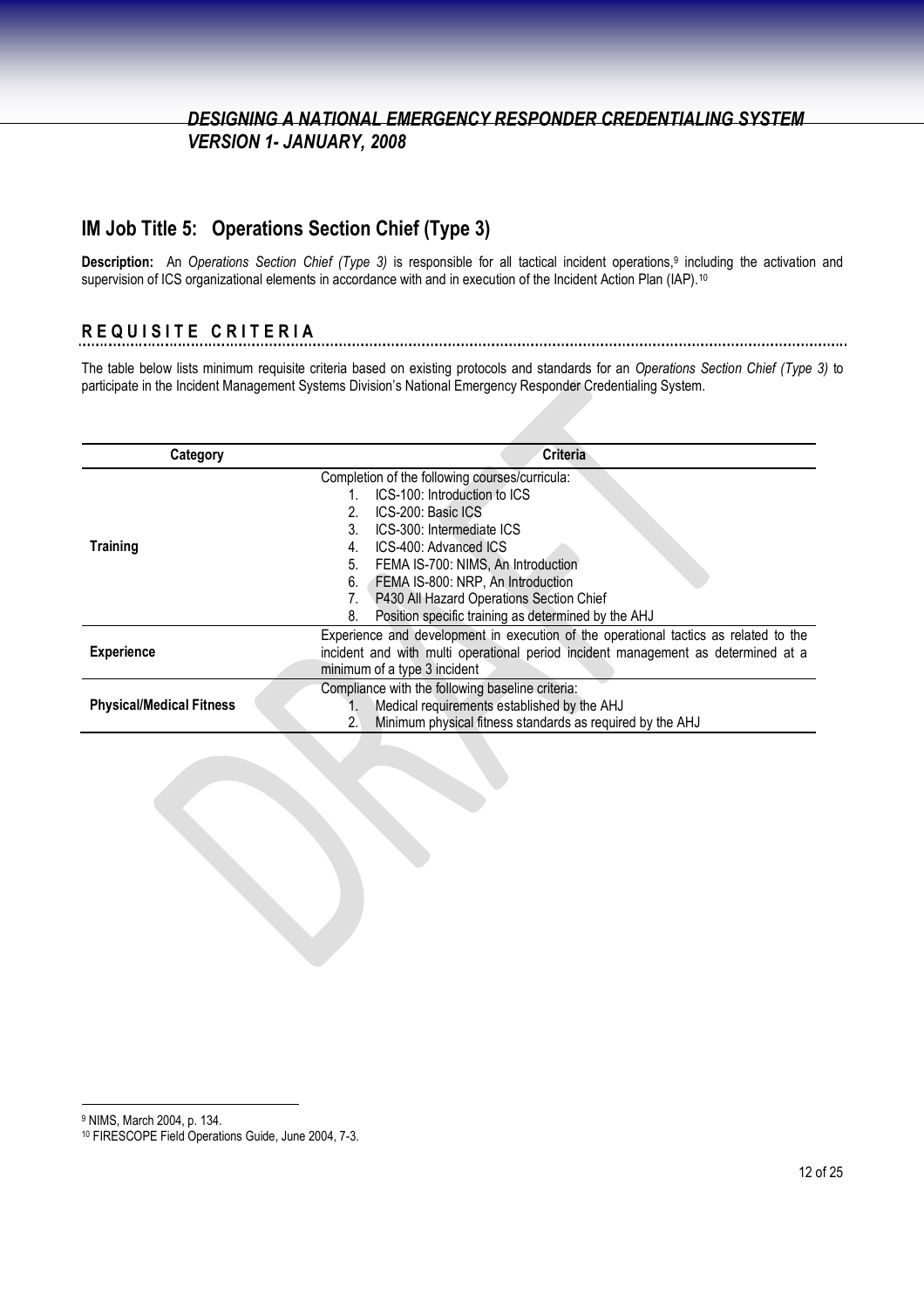## **IM Job Title 5: Operations Section Chief (Type 3)**

**Description:** An *Operations Section Chief (Type 3)* is responsible for all tactical incident operations,<sup>9</sup> including the activation and supervision of ICS organizational elements in accordance with and in execution of the Incident Action Plan (IAP).<sup>10</sup>

## **R E Q U I S I T E C R I T E R I A**

The table below lists minimum requisite criteria based on existing protocols and standards for an *Operations Section Chief (Type 3)* to participate in the Incident Management Systems Division's National Emergency Responder Credentialing System.

| Category                        | <b>Criteria</b>                                                                      |
|---------------------------------|--------------------------------------------------------------------------------------|
|                                 | Completion of the following courses/curricula:                                       |
|                                 | ICS-100: Introduction to ICS                                                         |
|                                 | ICS-200: Basic ICS                                                                   |
|                                 | ICS-300: Intermediate ICS<br>3.                                                      |
| <b>Training</b>                 | ICS-400: Advanced ICS<br>4.                                                          |
|                                 | FEMA IS-700: NIMS, An Introduction<br>5.                                             |
|                                 | FEMA IS-800: NRP, An Introduction<br>6.                                              |
|                                 | P430 All Hazard Operations Section Chief                                             |
|                                 | Position specific training as determined by the AHJ<br>8.                            |
|                                 | Experience and development in execution of the operational tactics as related to the |
| <b>Experience</b>               | incident and with multi operational period incident management as determined at a    |
|                                 | minimum of a type 3 incident                                                         |
|                                 | Compliance with the following baseline criteria:                                     |
| <b>Physical/Medical Fitness</b> | Medical requirements established by the AHJ                                          |
|                                 | Minimum physical fitness standards as required by the AHJ<br>2.                      |

<sup>9</sup> NIMS, March 2004, p. 134.

<sup>10</sup> FIRESCOPE Field Operations Guide, June 2004, 7-3.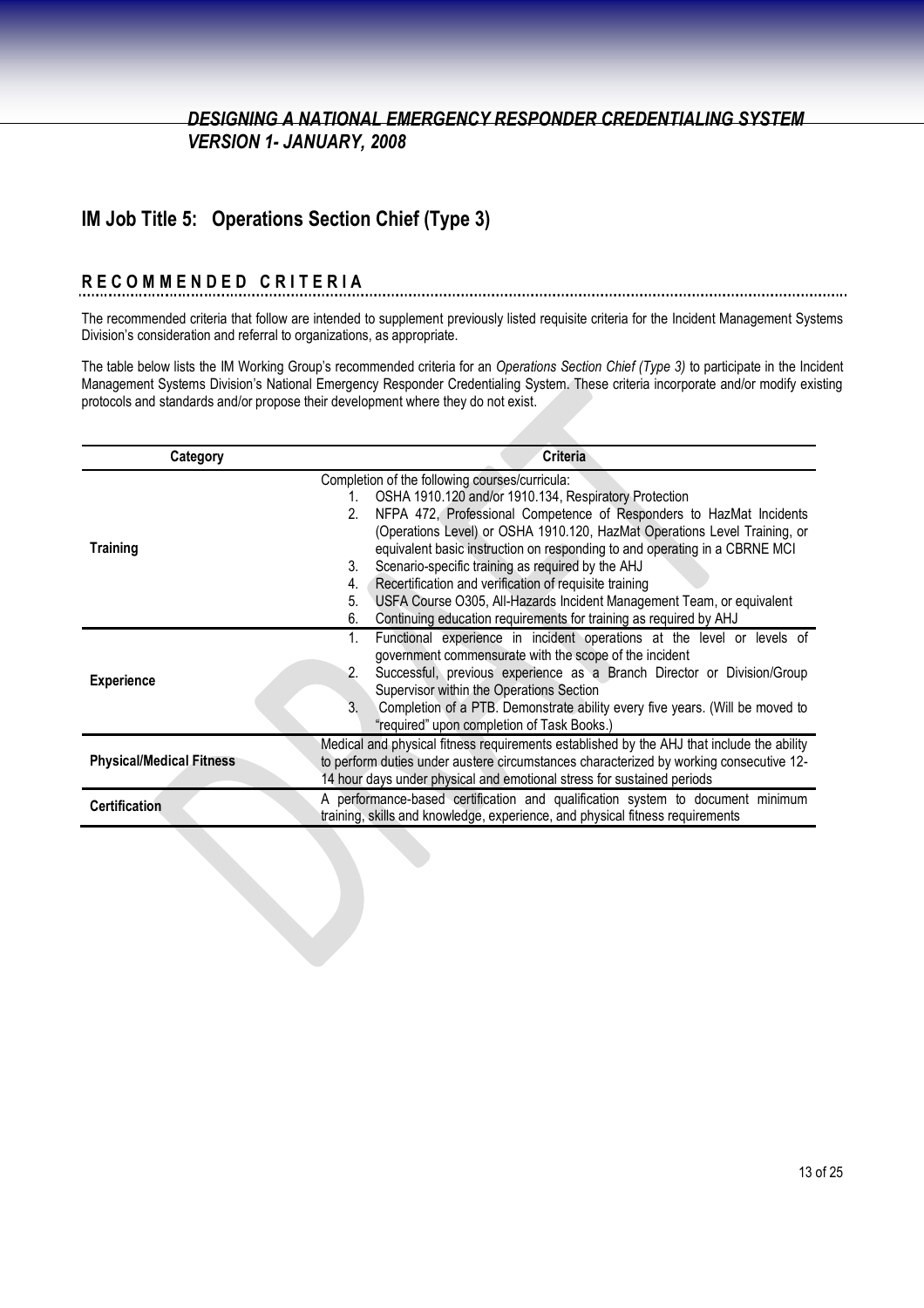## **IM Job Title 5: Operations Section Chief (Type 3)**

#### **R E C O M M E N D E D C R I T E R I A**

The recommended criteria that follow are intended to supplement previously listed requisite criteria for the Incident Management Systems Division's consideration and referral to organizations, as appropriate.

The table below lists the IM Working Group's recommended criteria for an *Operations Section Chief (Type 3)* to participate in the Incident Management Systems Division's National Emergency Responder Credentialing System. These criteria incorporate and/or modify existing protocols and standards and/or propose their development where they do not exist.

| Category                        | <b>Criteria</b>                                                                                                                                                                                                                                                                                                                                                                                                                                                                                                                                                                                                                            |
|---------------------------------|--------------------------------------------------------------------------------------------------------------------------------------------------------------------------------------------------------------------------------------------------------------------------------------------------------------------------------------------------------------------------------------------------------------------------------------------------------------------------------------------------------------------------------------------------------------------------------------------------------------------------------------------|
| <b>Training</b>                 | Completion of the following courses/curricula:<br>OSHA 1910.120 and/or 1910.134, Respiratory Protection<br>1.<br>NFPA 472, Professional Competence of Responders to HazMat Incidents<br>2.<br>(Operations Level) or OSHA 1910.120, HazMat Operations Level Training, or<br>equivalent basic instruction on responding to and operating in a CBRNE MCI<br>Scenario-specific training as required by the AHJ<br>3.<br>Recertification and verification of requisite training<br>4.<br>USFA Course O305, All-Hazards Incident Management Team, or equivalent<br>5.<br>Continuing education requirements for training as required by AHJ<br>6. |
| <b>Experience</b>               | Functional experience in incident operations at the level or levels of<br>$1_{\cdot}$<br>government commensurate with the scope of the incident<br>Successful, previous experience as a Branch Director or Division/Group<br>2.<br>Supervisor within the Operations Section<br>Completion of a PTB. Demonstrate ability every five years. (Will be moved to<br>3.<br>"required" upon completion of Task Books.)                                                                                                                                                                                                                            |
| <b>Physical/Medical Fitness</b> | Medical and physical fitness requirements established by the AHJ that include the ability<br>to perform duties under austere circumstances characterized by working consecutive 12-<br>14 hour days under physical and emotional stress for sustained periods                                                                                                                                                                                                                                                                                                                                                                              |
| <b>Certification</b>            | A performance-based certification and qualification system to document minimum<br>training, skills and knowledge, experience, and physical fitness requirements                                                                                                                                                                                                                                                                                                                                                                                                                                                                            |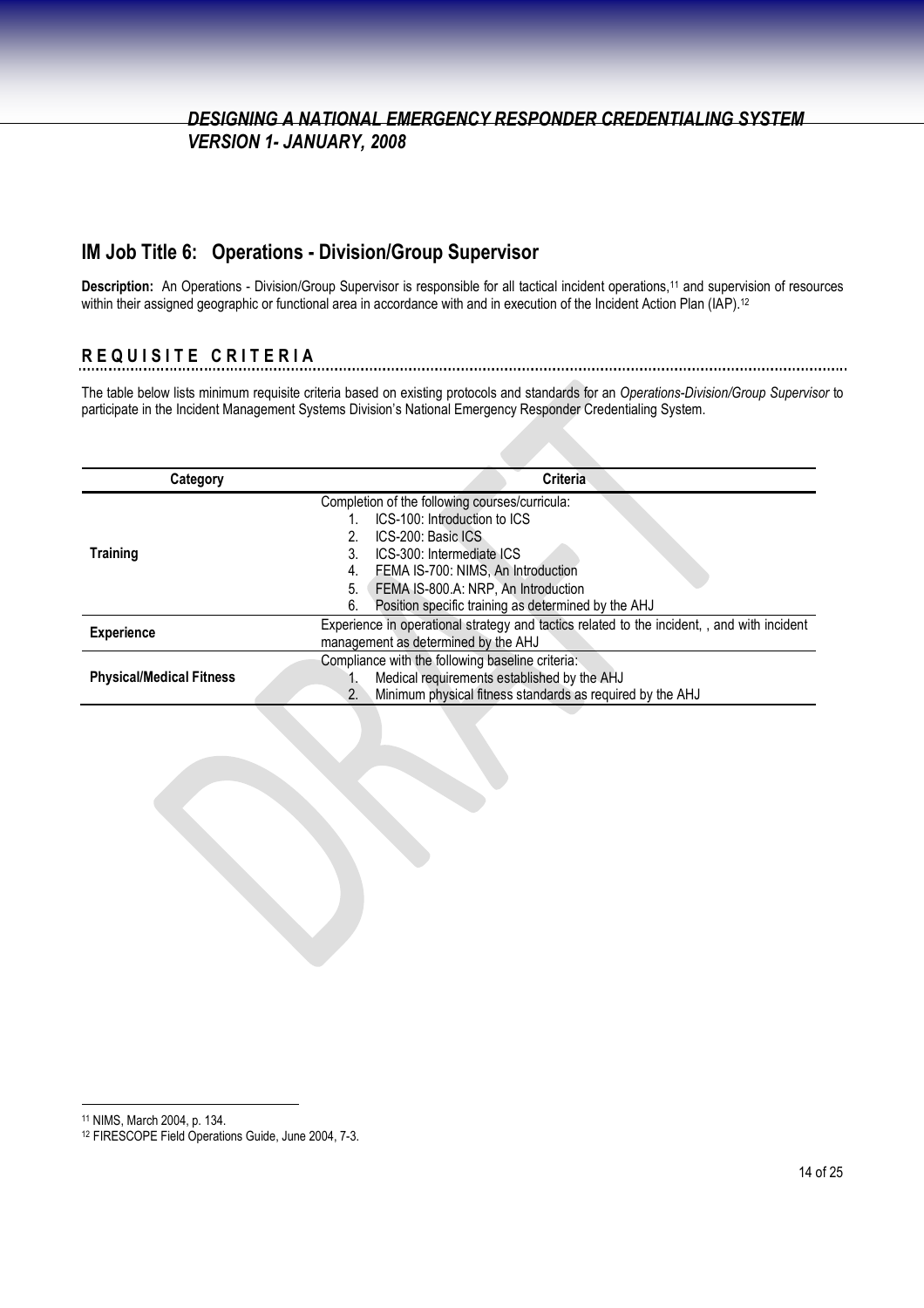### **IM Job Title 6: Operations - Division/Group Supervisor**

**Description:** An Operations - Division/Group Supervisor is responsible for all tactical incident operations,<sup>11</sup> and supervision of resources within their assigned geographic or functional area in accordance with and in execution of the Incident Action Plan (IAP).<sup>12</sup>

## **R E Q U I S I T E C R I T E R I A**

The table below lists minimum requisite criteria based on existing protocols and standards for an *Operations-Division/Group Supervisor* to participate in the Incident Management Systems Division's National Emergency Responder Credentialing System.

| Category                        | Criteria                                                                                    |
|---------------------------------|---------------------------------------------------------------------------------------------|
|                                 | Completion of the following courses/curricula:                                              |
|                                 | ICS-100: Introduction to ICS                                                                |
|                                 | ICS-200: Basic ICS                                                                          |
| <b>Training</b>                 | ICS-300: Intermediate ICS                                                                   |
|                                 | FEMA IS-700: NIMS, An Introduction<br>4.                                                    |
|                                 | FEMA IS-800.A: NRP, An Introduction<br>5.                                                   |
|                                 | Position specific training as determined by the AHJ<br>6.                                   |
| <b>Experience</b>               | Experience in operational strategy and tactics related to the incident, , and with incident |
|                                 | management as determined by the AHJ                                                         |
| <b>Physical/Medical Fitness</b> | Compliance with the following baseline criteria:                                            |
|                                 | Medical requirements established by the AHJ                                                 |
|                                 | Minimum physical fitness standards as required by the AHJ<br>2 <sub>1</sub>                 |

<sup>11</sup> NIMS, March 2004, p. 134.

<sup>12</sup> FIRESCOPE Field Operations Guide, June 2004, 7-3.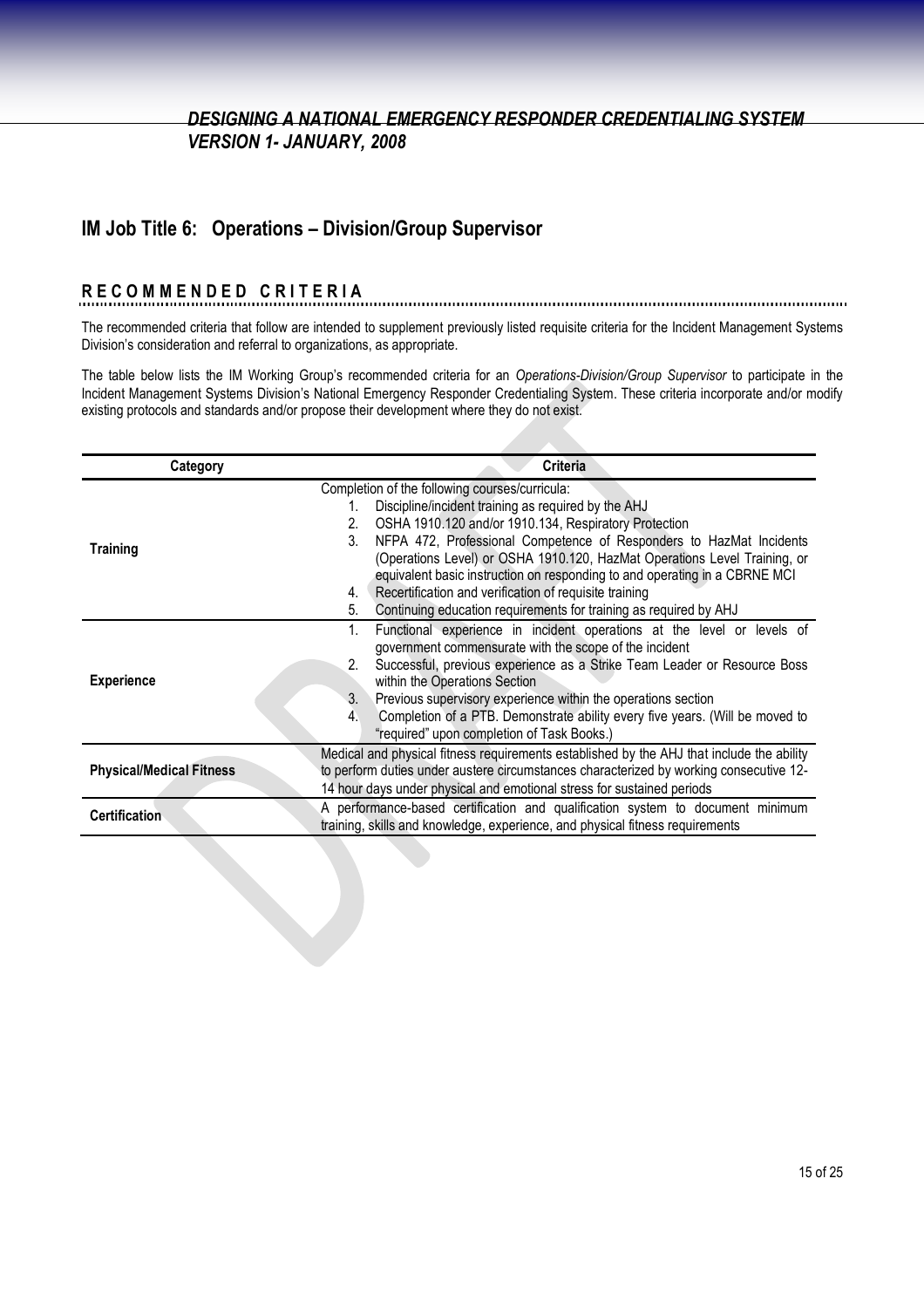#### **IM Job Title 6: Operations – Division/Group Supervisor**

# **R E C O M M E N D E D C R I T E R I A**

The recommended criteria that follow are intended to supplement previously listed requisite criteria for the Incident Management Systems Division's consideration and referral to organizations, as appropriate.

The table below lists the IM Working Group's recommended criteria for an *Operations-Division/Group Supervisor* to participate in the Incident Management Systems Division's National Emergency Responder Credentialing System. These criteria incorporate and/or modify existing protocols and standards and/or propose their development where they do not exist.

| Category                        | <b>Criteria</b>                                                                           |
|---------------------------------|-------------------------------------------------------------------------------------------|
|                                 | Completion of the following courses/curricula:                                            |
|                                 | Discipline/incident training as required by the AHJ<br>1.                                 |
|                                 | OSHA 1910.120 and/or 1910.134, Respiratory Protection<br>2.                               |
| <b>Training</b>                 | NFPA 472, Professional Competence of Responders to HazMat Incidents<br>3.                 |
|                                 | (Operations Level) or OSHA 1910.120, HazMat Operations Level Training, or                 |
|                                 | equivalent basic instruction on responding to and operating in a CBRNE MCI                |
|                                 | Recertification and verification of requisite training<br>4.                              |
|                                 | Continuing education requirements for training as required by AHJ<br>5.                   |
|                                 | Functional experience in incident operations at the level or levels of<br>1.              |
|                                 | government commensurate with the scope of the incident                                    |
|                                 | Successful, previous experience as a Strike Team Leader or Resource Boss                  |
| <b>Experience</b>               | within the Operations Section                                                             |
|                                 | Previous supervisory experience within the operations section<br>3.                       |
|                                 | Completion of a PTB. Demonstrate ability every five years. (Will be moved to<br>4.        |
|                                 | "required" upon completion of Task Books.)                                                |
|                                 | Medical and physical fitness requirements established by the AHJ that include the ability |
| <b>Physical/Medical Fitness</b> | to perform duties under austere circumstances characterized by working consecutive 12-    |
|                                 | 14 hour days under physical and emotional stress for sustained periods                    |
|                                 | A performance-based certification and qualification system to document minimum            |
| <b>Certification</b>            | training, skills and knowledge, experience, and physical fitness requirements             |
|                                 |                                                                                           |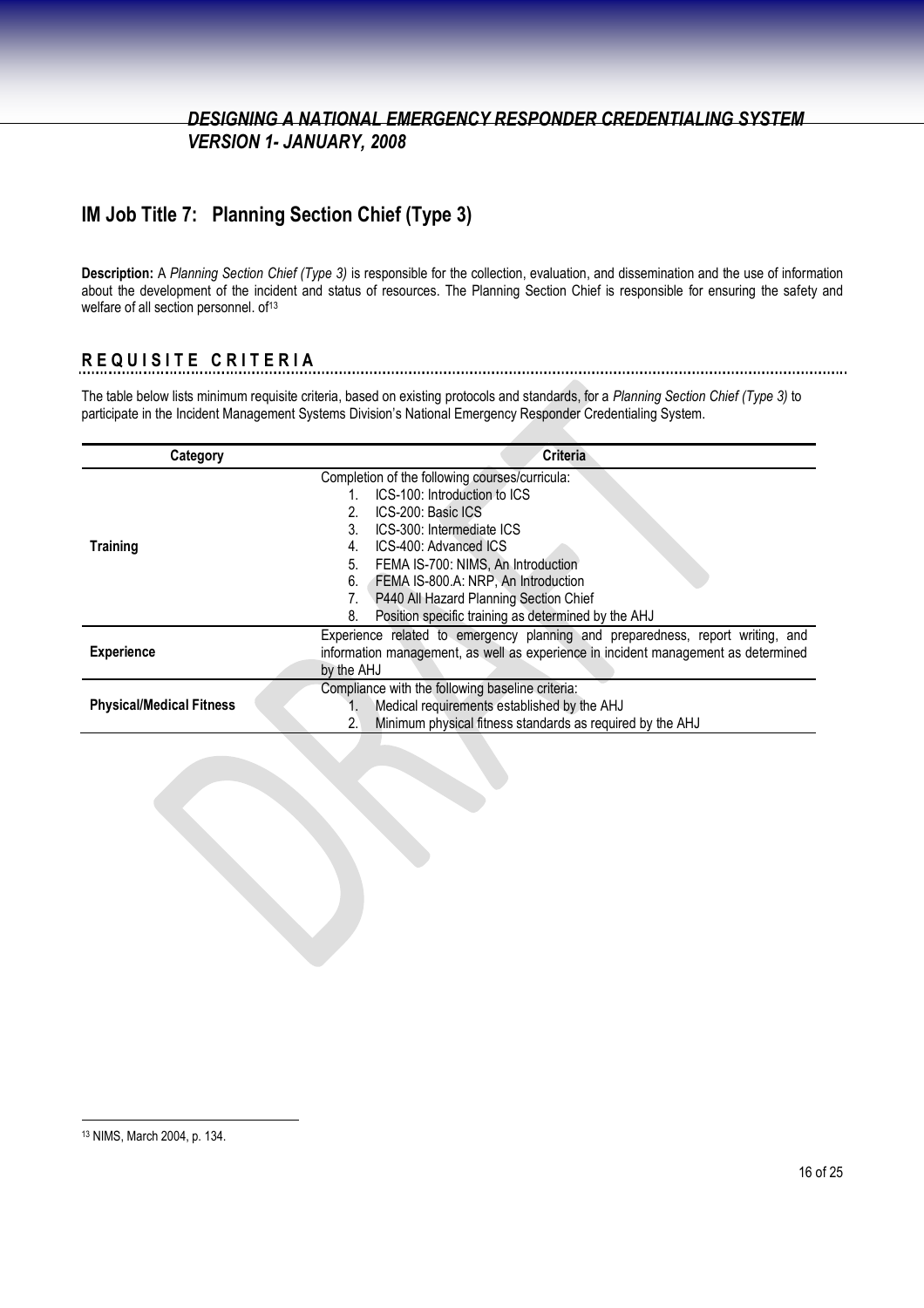## **IM Job Title 7: Planning Section Chief (Type 3)**

**Description:** A *Planning Section Chief (Type 3)* is responsible for the collection, evaluation, and dissemination and the use of information about the development of the incident and status of resources. The Planning Section Chief is responsible for ensuring the safety and welfare of all section personnel. of<sup>13</sup>

## **R E Q U I S I T E C R I T E R I A**

The table below lists minimum requisite criteria, based on existing protocols and standards, for a *Planning Section Chief (Type 3)* to participate in the Incident Management Systems Division's National Emergency Responder Credentialing System.

| Category                        | <b>Criteria</b>                                                                    |
|---------------------------------|------------------------------------------------------------------------------------|
|                                 | Completion of the following courses/curricula:                                     |
|                                 | ICS-100: Introduction to ICS                                                       |
|                                 | ICS-200: Basic ICS                                                                 |
|                                 | ICS-300: Intermediate ICS<br>3.                                                    |
| <b>Training</b>                 | ICS-400: Advanced ICS<br>4.                                                        |
|                                 | FEMA IS-700: NIMS, An Introduction<br>5.                                           |
|                                 | FEMA IS-800.A: NRP, An Introduction<br>6.                                          |
|                                 | P440 All Hazard Planning Section Chief                                             |
|                                 | Position specific training as determined by the AHJ<br>8.                          |
|                                 | Experience related to emergency planning and preparedness, report writing, and     |
| <b>Experience</b>               | information management, as well as experience in incident management as determined |
|                                 | by the AHJ                                                                         |
|                                 | Compliance with the following baseline criteria:                                   |
| <b>Physical/Medical Fitness</b> | Medical requirements established by the AHJ                                        |
|                                 | Minimum physical fitness standards as required by the AHJ<br>2.1                   |

<sup>13</sup> NIMS, March 2004, p. 134.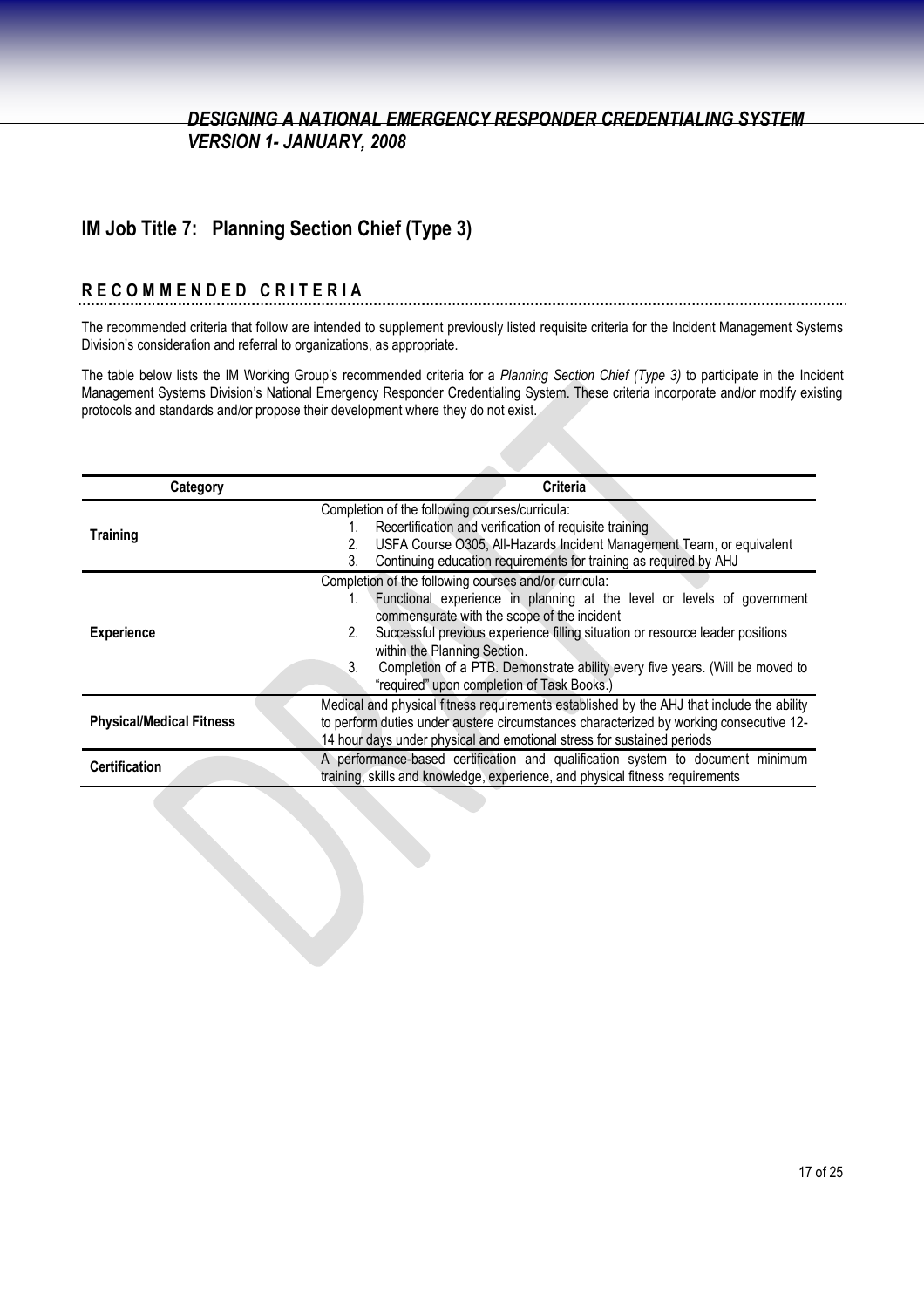## **IM Job Title 7: Planning Section Chief (Type 3)**

# **R E C O M M E N D E D C R I T E R I A**

The recommended criteria that follow are intended to supplement previously listed requisite criteria for the Incident Management Systems Division's consideration and referral to organizations, as appropriate.

The table below lists the IM Working Group's recommended criteria for a *Planning Section Chief (Type 3)* to participate in the Incident Management Systems Division's National Emergency Responder Credentialing System. These criteria incorporate and/or modify existing protocols and standards and/or propose their development where they do not exist.

| Category                        | Criteria                                                                                                                                                                                                                                                                                                                                                                                                                                  |
|---------------------------------|-------------------------------------------------------------------------------------------------------------------------------------------------------------------------------------------------------------------------------------------------------------------------------------------------------------------------------------------------------------------------------------------------------------------------------------------|
| <b>Training</b>                 | Completion of the following courses/curricula:<br>Recertification and verification of requisite training<br>USFA Course O305, All-Hazards Incident Management Team, or equivalent<br>2.<br>Continuing education requirements for training as required by AHJ<br>3.                                                                                                                                                                        |
| <b>Experience</b>               | Completion of the following courses and/or curricula:<br>Functional experience in planning at the level or levels of government<br>commensurate with the scope of the incident<br>Successful previous experience filling situation or resource leader positions<br>2.<br>within the Planning Section.<br>Completion of a PTB. Demonstrate ability every five years. (Will be moved to<br>3.<br>"required" upon completion of Task Books.) |
| <b>Physical/Medical Fitness</b> | Medical and physical fitness requirements established by the AHJ that include the ability<br>to perform duties under austere circumstances characterized by working consecutive 12-<br>14 hour days under physical and emotional stress for sustained periods                                                                                                                                                                             |
| <b>Certification</b>            | A performance-based certification and qualification system to document minimum<br>training, skills and knowledge, experience, and physical fitness requirements                                                                                                                                                                                                                                                                           |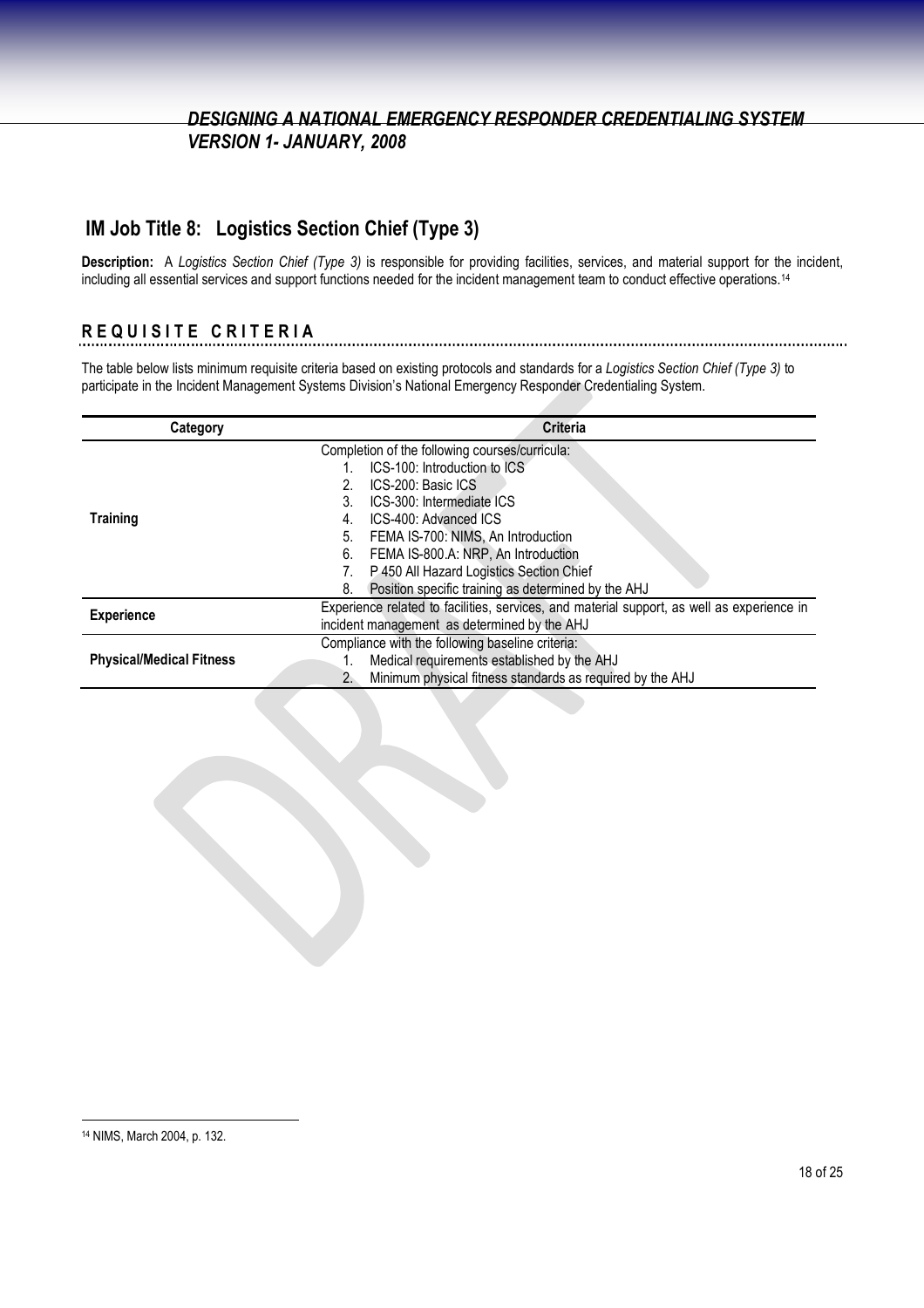## **IM Job Title 8: Logistics Section Chief (Type 3)**

**Description:** A *Logistics Section Chief (Type 3)* is responsible for providing facilities, services, and material support for the incident, including all essential services and support functions needed for the incident management team to conduct effective operations.<sup>14</sup>

## **R E Q U I S I T E C R I T E R I A**

The table below lists minimum requisite criteria based on existing protocols and standards for a *Logistics Section Chief (Type 3)* to participate in the Incident Management Systems Division's National Emergency Responder Credentialing System.

| Category                        | <b>Criteria</b>                                                                            |
|---------------------------------|--------------------------------------------------------------------------------------------|
|                                 | Completion of the following courses/curricula:                                             |
|                                 | ICS-100: Introduction to ICS                                                               |
|                                 | ICS-200: Basic ICS                                                                         |
|                                 | ICS-300: Intermediate ICS<br>3.                                                            |
| <b>Training</b>                 | ICS-400: Advanced ICS<br>4.                                                                |
|                                 | FEMA IS-700: NIMS, An Introduction<br>5.                                                   |
|                                 | FEMA IS-800.A: NRP, An Introduction<br>6.                                                  |
|                                 | P 450 All Hazard Logistics Section Chief                                                   |
|                                 | Position specific training as determined by the AHJ<br>8.                                  |
| <b>Experience</b>               | Experience related to facilities, services, and material support, as well as experience in |
|                                 | incident management as determined by the AHJ                                               |
| <b>Physical/Medical Fitness</b> | Compliance with the following baseline criteria:                                           |
|                                 | Medical requirements established by the AHJ                                                |
|                                 | Minimum physical fitness standards as required by the AHJ<br>2.                            |

<sup>14</sup> NIMS, March 2004, p. 132.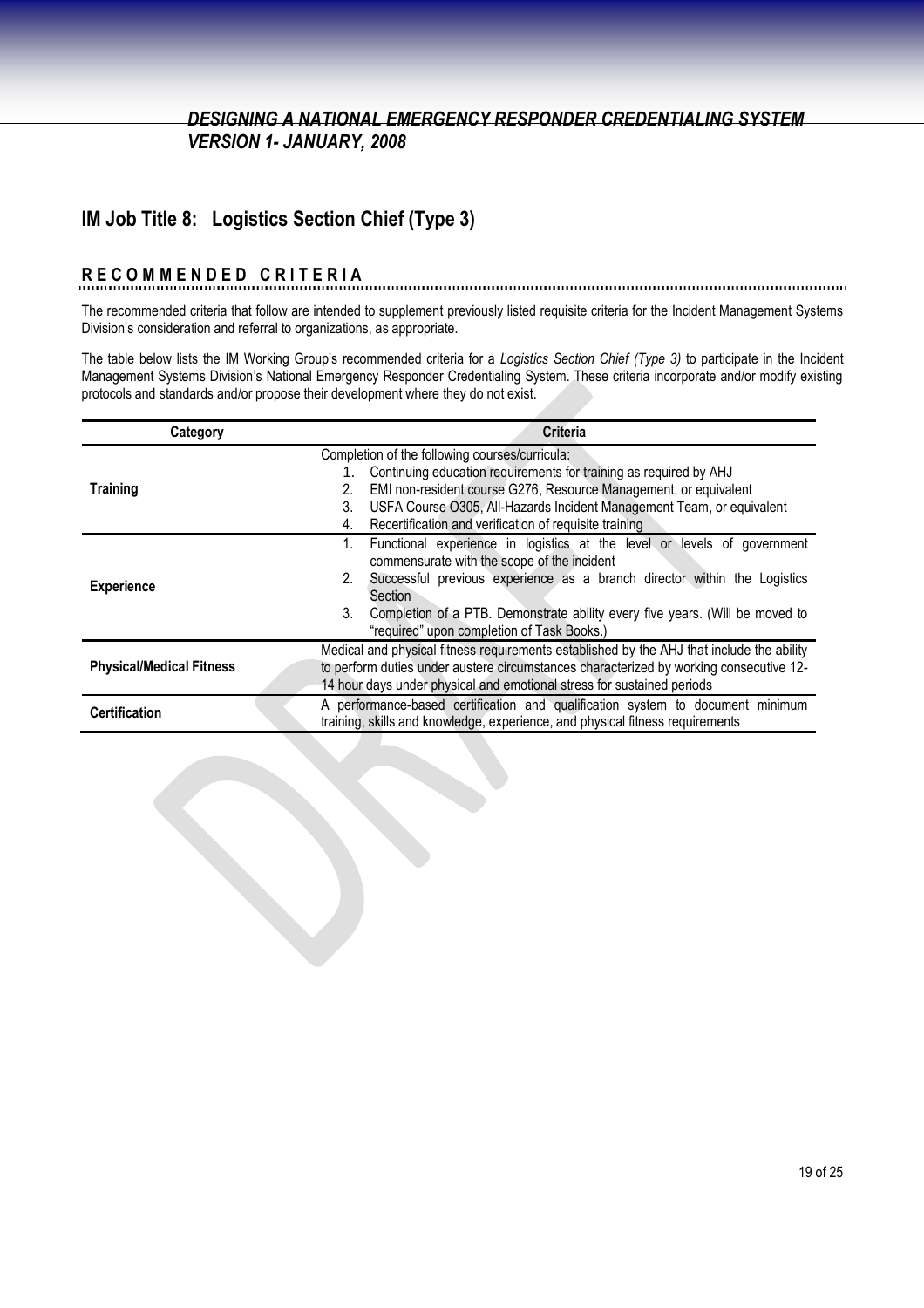## **IM Job Title 8: Logistics Section Chief (Type 3)**

### **R E C O M M E N D E D C R I T E R I A**

The recommended criteria that follow are intended to supplement previously listed requisite criteria for the Incident Management Systems Division's consideration and referral to organizations, as appropriate.

The table below lists the IM Working Group's recommended criteria for a *Logistics Section Chief (Type 3)* to participate in the Incident Management Systems Division's National Emergency Responder Credentialing System. These criteria incorporate and/or modify existing protocols and standards and/or propose their development where they do not exist.

| Category                        | <b>Criteria</b>                                                                           |
|---------------------------------|-------------------------------------------------------------------------------------------|
|                                 | Completion of the following courses/curricula:                                            |
|                                 | Continuing education requirements for training as required by AHJ                         |
| <b>Training</b>                 | EMI non-resident course G276, Resource Management, or equivalent<br>2.                    |
|                                 | USFA Course O305, All-Hazards Incident Management Team, or equivalent<br>3.               |
|                                 | Recertification and verification of requisite training<br>4.                              |
|                                 | Functional experience in logistics at the level or levels of government<br>1.             |
|                                 | commensurate with the scope of the incident                                               |
| <b>Experience</b>               | Successful previous experience as a branch director within the Logistics<br>2.            |
|                                 | Section                                                                                   |
|                                 | Completion of a PTB. Demonstrate ability every five years. (Will be moved to<br>3.        |
|                                 | "required" upon completion of Task Books.)                                                |
|                                 | Medical and physical fitness requirements established by the AHJ that include the ability |
| <b>Physical/Medical Fitness</b> | to perform duties under austere circumstances characterized by working consecutive 12-    |
|                                 | 14 hour days under physical and emotional stress for sustained periods                    |
| <b>Certification</b>            | A performance-based certification and qualification system to document minimum            |
|                                 | training, skills and knowledge, experience, and physical fitness requirements             |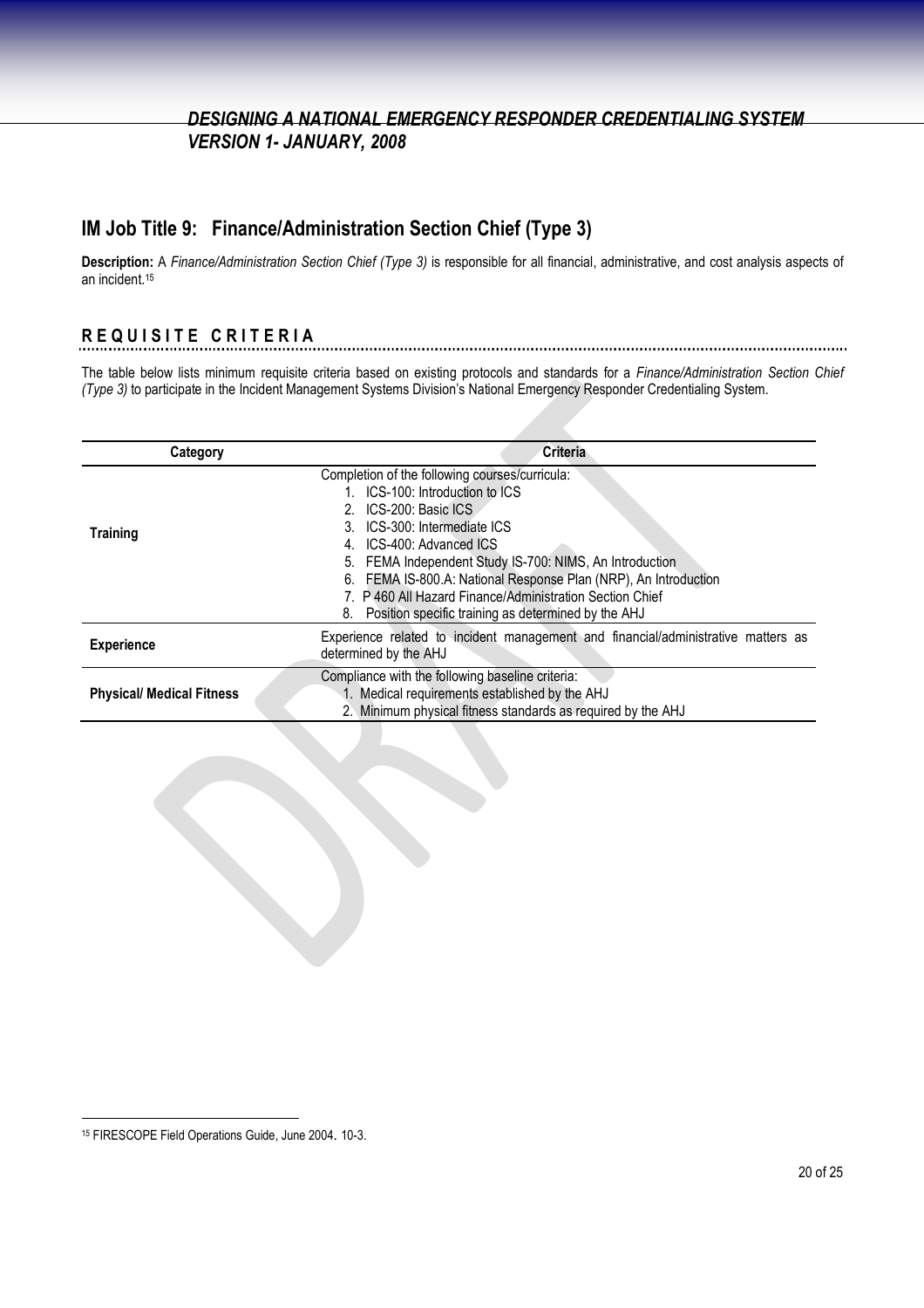### **IM Job Title 9: Finance/Administration Section Chief (Type 3)**

**Description:** A *Finance/Administration Section Chief (Type 3)* is responsible for all financial, administrative, and cost analysis aspects of an incident.<sup>15</sup>

## **R E Q U I S I T E C R I T E R I A**

The table below lists minimum requisite criteria based on existing protocols and standards for a *Finance/Administration Section Chief (Type 3)* to participate in the Incident Management Systems Division's National Emergency Responder Credentialing System.

| Category                         | <b>Criteria</b>                                                                                                                                                                                                                                                                                                                                                                                                               |
|----------------------------------|-------------------------------------------------------------------------------------------------------------------------------------------------------------------------------------------------------------------------------------------------------------------------------------------------------------------------------------------------------------------------------------------------------------------------------|
| <b>Training</b>                  | Completion of the following courses/curricula:<br>ICS-100: Introduction to ICS<br>ICS-200: Basic ICS<br>ICS-300: Intermediate ICS<br>ICS-400: Advanced ICS<br>4.<br>FEMA Independent Study IS-700: NIMS, An Introduction<br>5.<br>FEMA IS-800.A: National Response Plan (NRP), An Introduction<br>6.<br>7. P 460 All Hazard Finance/Administration Section Chief<br>Position specific training as determined by the AHJ<br>8. |
| <b>Experience</b>                | Experience related to incident management and financial/administrative matters as<br>determined by the AHJ                                                                                                                                                                                                                                                                                                                    |
| <b>Physical/ Medical Fitness</b> | Compliance with the following baseline criteria:<br>1. Medical requirements established by the AHJ<br>2. Minimum physical fitness standards as required by the AHJ                                                                                                                                                                                                                                                            |

<sup>15</sup> FIRESCOPE Field Operations Guide, June 2004. 10-3.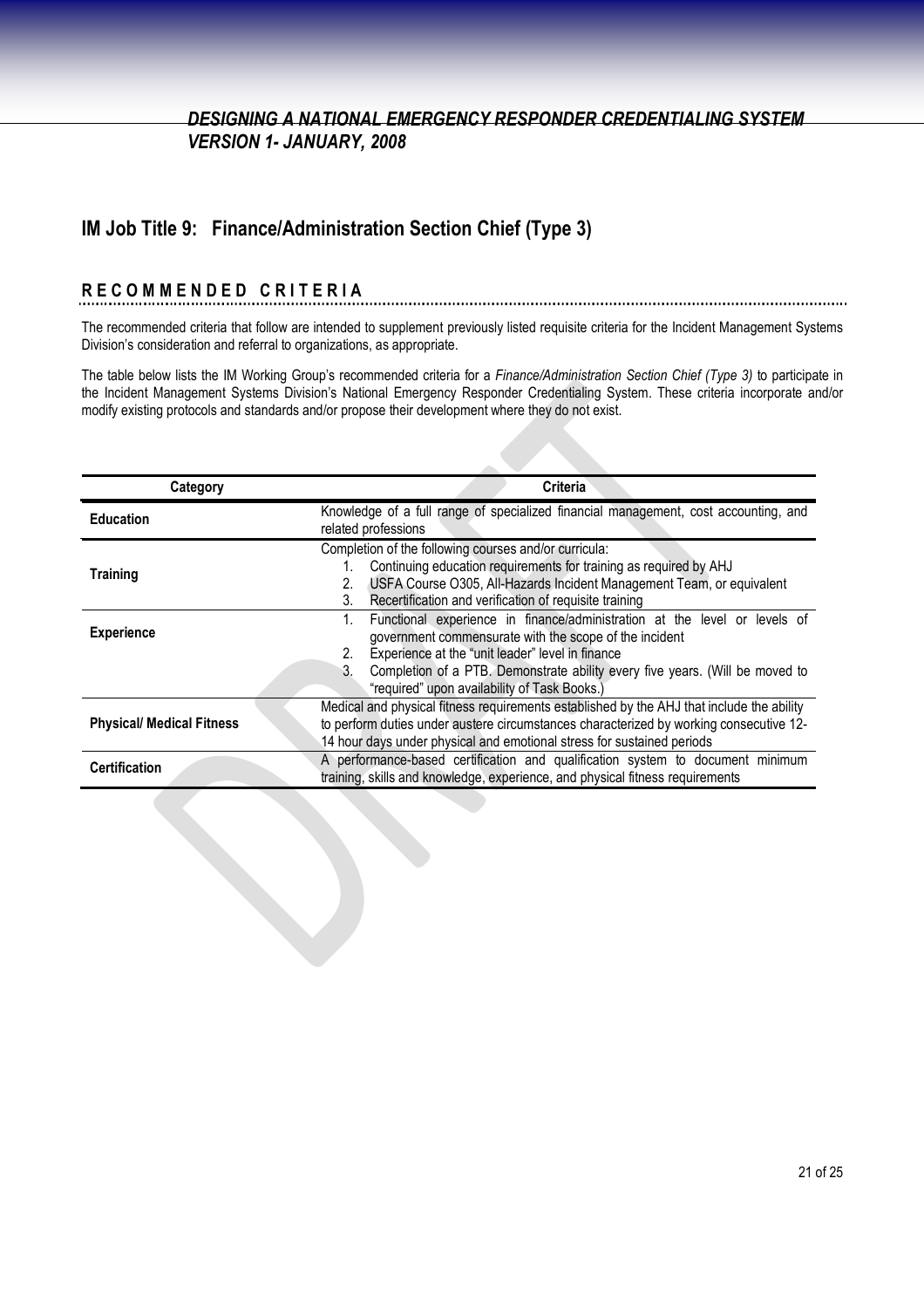## **IM Job Title 9: Finance/Administration Section Chief (Type 3)**

# **R E C O M M E N D E D C R I T E R I A**

The recommended criteria that follow are intended to supplement previously listed requisite criteria for the Incident Management Systems Division's consideration and referral to organizations, as appropriate.

The table below lists the IM Working Group's recommended criteria for a *Finance/Administration Section Chief (Type 3)* to participate in the Incident Management Systems Division's National Emergency Responder Credentialing System. These criteria incorporate and/or modify existing protocols and standards and/or propose their development where they do not exist.

| Category                         | Criteria                                                                                                                                                                                                                                                                                                                                  |
|----------------------------------|-------------------------------------------------------------------------------------------------------------------------------------------------------------------------------------------------------------------------------------------------------------------------------------------------------------------------------------------|
| <b>Education</b>                 | Knowledge of a full range of specialized financial management, cost accounting, and<br>related professions                                                                                                                                                                                                                                |
| <b>Training</b>                  | Completion of the following courses and/or curricula:<br>Continuing education requirements for training as required by AHJ<br>USFA Course O305, All-Hazards Incident Management Team, or equivalent<br>2.<br>Recertification and verification of requisite training<br>3.                                                                 |
| <b>Experience</b>                | Functional experience in finance/administration at the level or levels of<br>1.<br>government commensurate with the scope of the incident<br>Experience at the "unit leader" level in finance<br>2.<br>3.<br>Completion of a PTB. Demonstrate ability every five years. (Will be moved to<br>"required" upon availability of Task Books.) |
| <b>Physical/ Medical Fitness</b> | Medical and physical fitness requirements established by the AHJ that include the ability<br>to perform duties under austere circumstances characterized by working consecutive 12-<br>14 hour days under physical and emotional stress for sustained periods                                                                             |
| <b>Certification</b>             | A performance-based certification and qualification system to document minimum<br>training, skills and knowledge, experience, and physical fitness requirements                                                                                                                                                                           |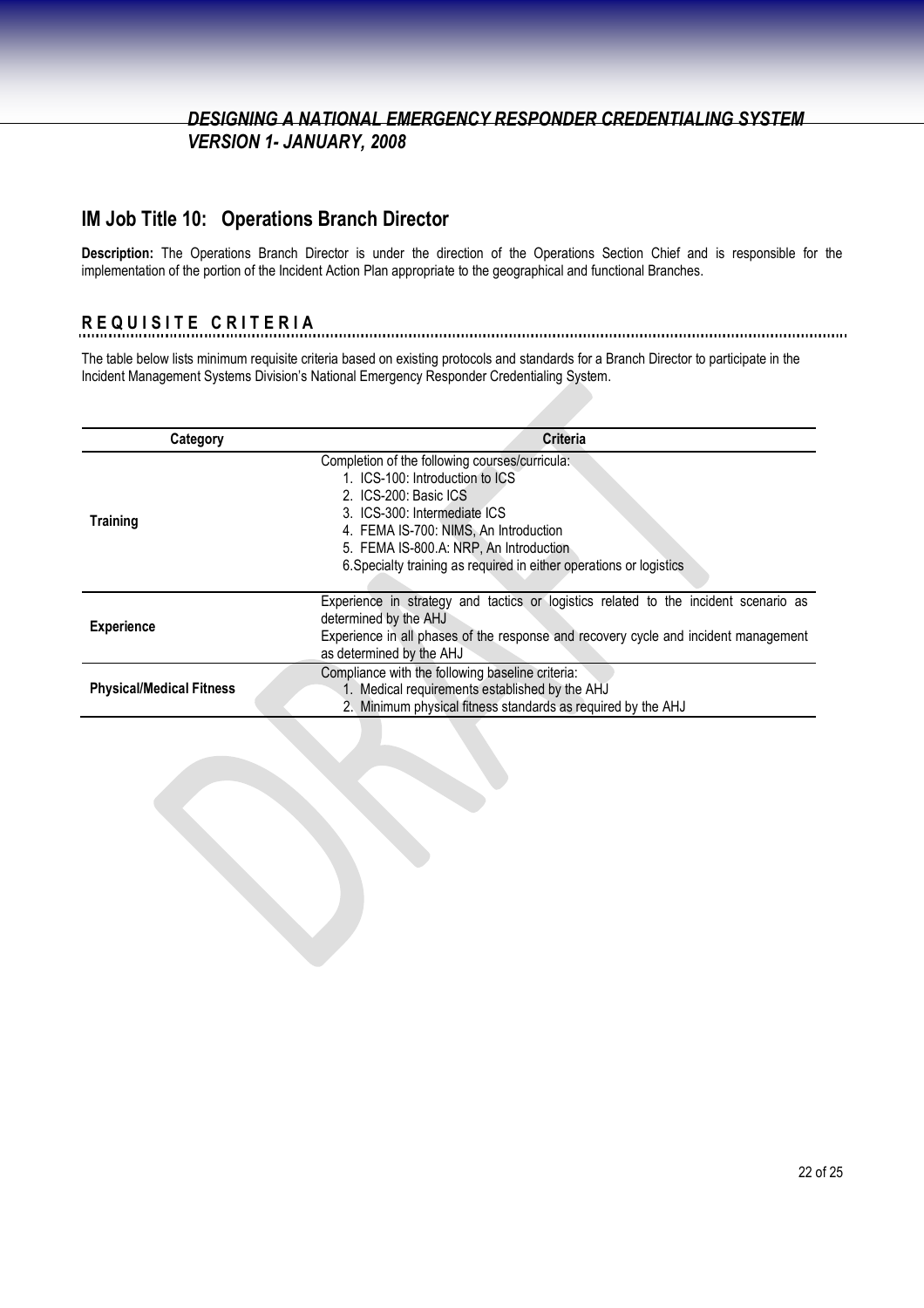### **IM Job Title 10: Operations Branch Director**

**Description:** The Operations Branch Director is under the direction of the Operations Section Chief and is responsible for the implementation of the portion of the Incident Action Plan appropriate to the geographical and functional Branches.

# **R E Q U I S I T E C R I T E R I A**

The table below lists minimum requisite criteria based on existing protocols and standards for a Branch Director to participate in the Incident Management Systems Division's National Emergency Responder Credentialing System.

| Category                        | Criteria                                                                                                                                                                                                                                                                                             |
|---------------------------------|------------------------------------------------------------------------------------------------------------------------------------------------------------------------------------------------------------------------------------------------------------------------------------------------------|
| <b>Training</b>                 | Completion of the following courses/curricula:<br>1. ICS-100: Introduction to ICS<br>2. ICS-200: Basic ICS<br>3. ICS-300: Intermediate ICS<br>4. FEMA IS-700: NIMS, An Introduction<br>5. FEMA IS-800.A: NRP, An Introduction<br>6. Specialty training as required in either operations or logistics |
| <b>Experience</b>               | Experience in strategy and tactics or logistics related to the incident scenario as<br>determined by the AHJ<br>Experience in all phases of the response and recovery cycle and incident management<br>as determined by the AHJ                                                                      |
| <b>Physical/Medical Fitness</b> | Compliance with the following baseline criteria:<br>1. Medical requirements established by the AHJ<br>2. Minimum physical fitness standards as required by the AHJ                                                                                                                                   |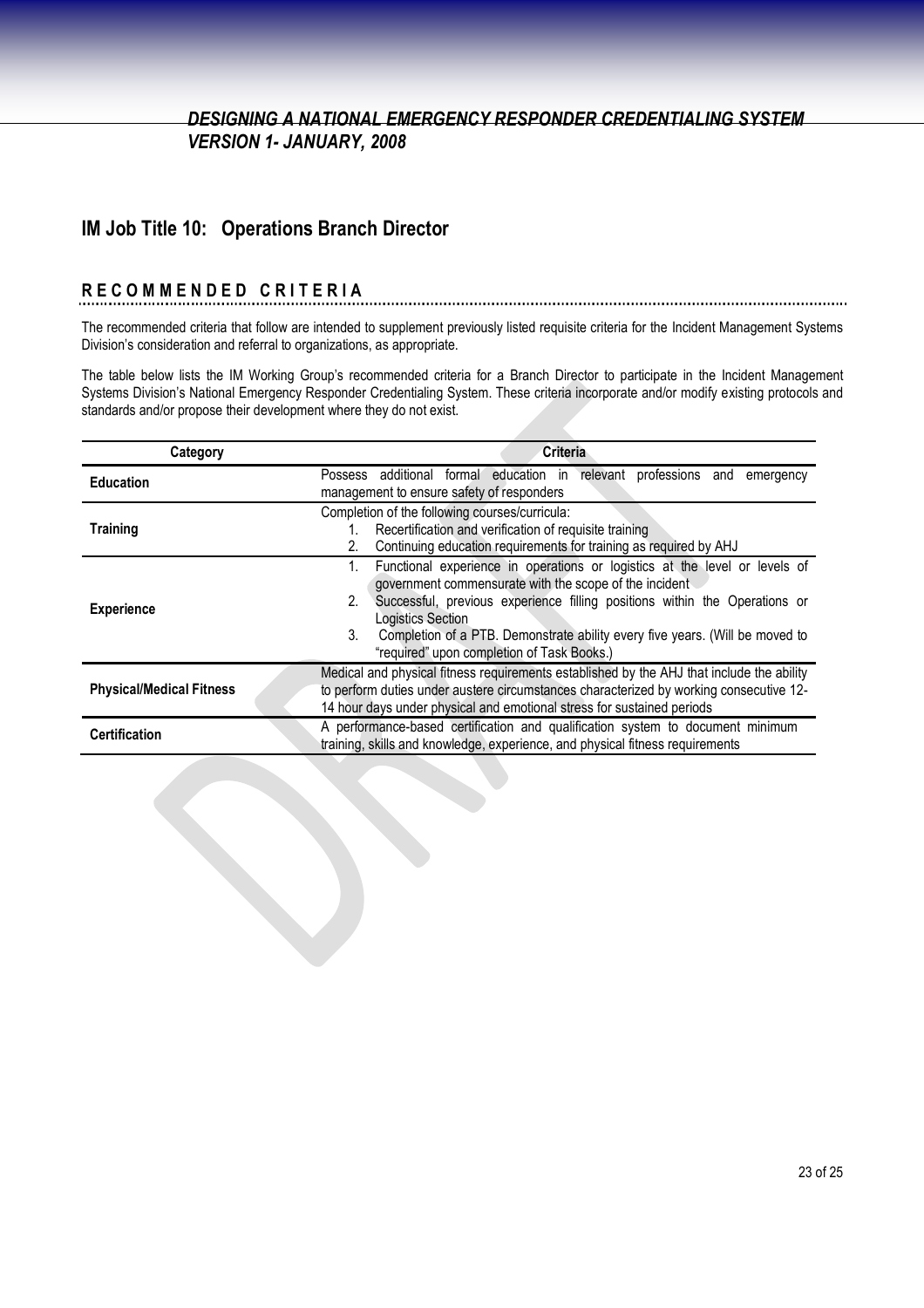### **IM Job Title 10: Operations Branch Director**

# **R E C O M M E N D E D C R I T E R I A**

The recommended criteria that follow are intended to supplement previously listed requisite criteria for the Incident Management Systems Division's consideration and referral to organizations, as appropriate.

The table below lists the IM Working Group's recommended criteria for a Branch Director to participate in the Incident Management Systems Division's National Emergency Responder Credentialing System. These criteria incorporate and/or modify existing protocols and standards and/or propose their development where they do not exist.

| Category                        | <b>Criteria</b>                                                                                                                                                                                                                                                                                                                                                                          |
|---------------------------------|------------------------------------------------------------------------------------------------------------------------------------------------------------------------------------------------------------------------------------------------------------------------------------------------------------------------------------------------------------------------------------------|
| <b>Education</b>                | Possess additional formal education in relevant professions and emergency<br>management to ensure safety of responders                                                                                                                                                                                                                                                                   |
| <b>Training</b>                 | Completion of the following courses/curricula:<br>Recertification and verification of requisite training                                                                                                                                                                                                                                                                                 |
|                                 | Continuing education requirements for training as required by AHJ<br>2.                                                                                                                                                                                                                                                                                                                  |
| <b>Experience</b>               | Functional experience in operations or logistics at the level or levels of<br>government commensurate with the scope of the incident<br>Successful, previous experience filling positions within the Operations or<br>2.<br><b>Logistics Section</b><br>3.<br>Completion of a PTB. Demonstrate ability every five years. (Will be moved to<br>"required" upon completion of Task Books.) |
| <b>Physical/Medical Fitness</b> | Medical and physical fitness requirements established by the AHJ that include the ability<br>to perform duties under austere circumstances characterized by working consecutive 12-<br>14 hour days under physical and emotional stress for sustained periods                                                                                                                            |
| <b>Certification</b>            | A performance-based certification and qualification system to document minimum<br>training, skills and knowledge, experience, and physical fitness requirements                                                                                                                                                                                                                          |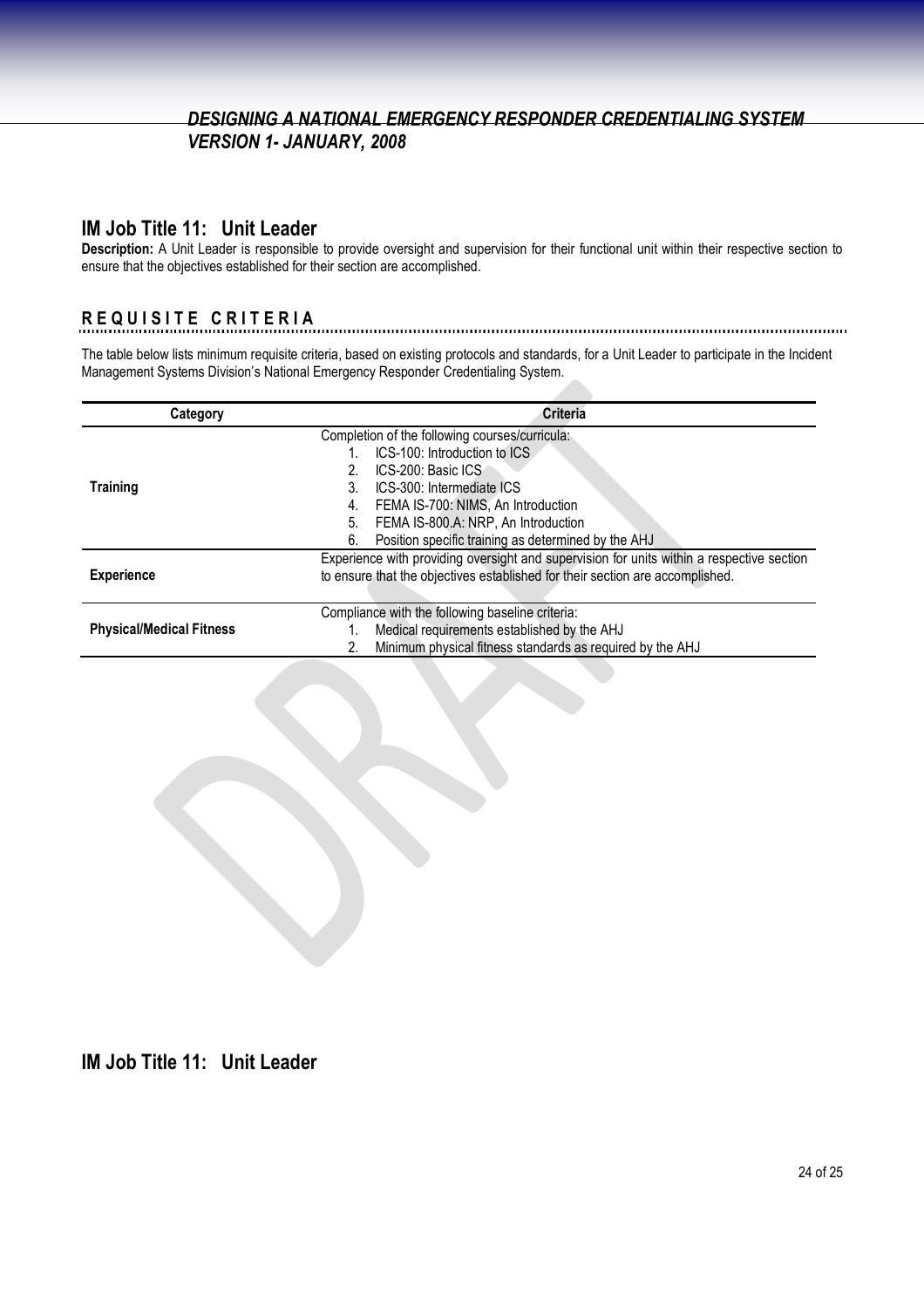#### **IM Job Title 11: Unit Leader**

**Description:** A Unit Leader is responsible to provide oversight and supervision for their functional unit within their respective section to ensure that the objectives established for their section are accomplished.

# **R E Q U I S I T E C R I T E R I A**

The table below lists minimum requisite criteria, based on existing protocols and standards, for a Unit Leader to participate in the Incident Management Systems Division's National Emergency Responder Credentialing System.

| Category                        | <b>Criteria</b>                                                                           |
|---------------------------------|-------------------------------------------------------------------------------------------|
|                                 | Completion of the following courses/curricula:                                            |
|                                 | ICS-100: Introduction to ICS                                                              |
|                                 | ICS-200: Basic ICS                                                                        |
| <b>Training</b>                 | ICS-300: Intermediate ICS<br>3.                                                           |
|                                 | FEMA IS-700: NIMS, An Introduction<br>4.                                                  |
|                                 | FEMA IS-800.A: NRP, An Introduction<br>5.                                                 |
|                                 | Position specific training as determined by the AHJ<br>6.                                 |
|                                 | Experience with providing oversight and supervision for units within a respective section |
| <b>Experience</b>               | to ensure that the objectives established for their section are accomplished.             |
|                                 |                                                                                           |
|                                 | Compliance with the following baseline criteria:                                          |
| <b>Physical/Medical Fitness</b> | Medical requirements established by the AHJ                                               |
|                                 | Minimum physical fitness standards as required by the AHJ                                 |

**IM Job Title 11: Unit Leader**